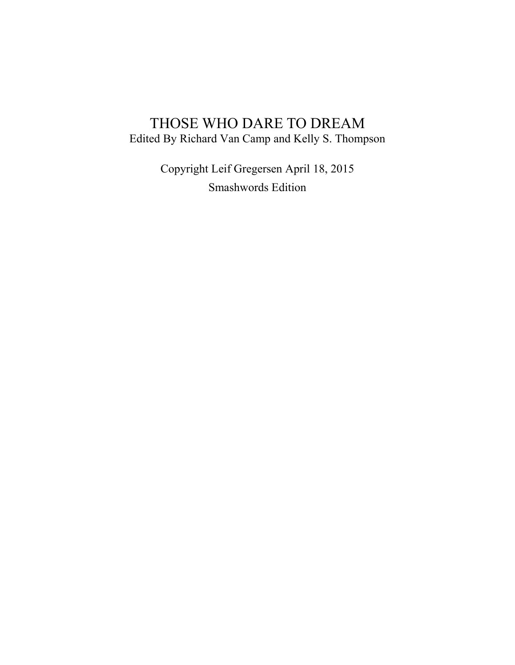# THOSE WHO DARE TO DREAM Edited By Richard Van Camp and Kelly S. Thompson

Copyright Leif Gregersen April 18, 2015 Smashwords Edition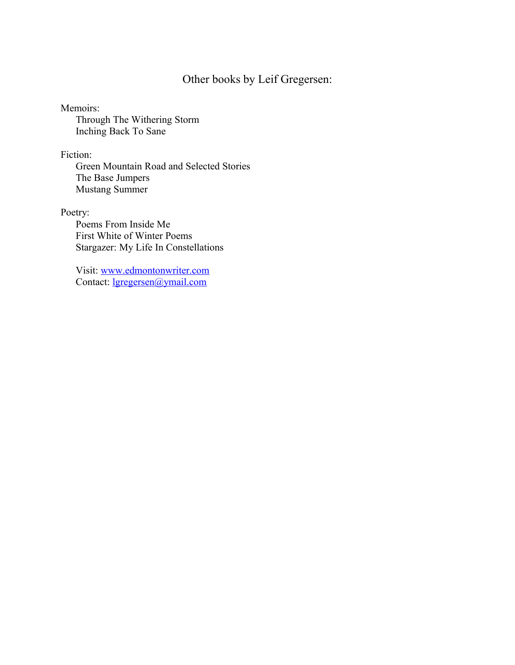# Other books by Leif Gregersen:

### Memoirs:

Through The Withering Storm Inching Back To Sane

## Fiction:

Green Mountain Road and Selected Stories The Base Jumpers Mustang Summer

# Poetry:

Poems From Inside Me First White of Winter Poems Stargazer: My Life In Constellations

Visit: [www.edmontonwriter.com](http://www.edmontonwriter.com/) Contact: [lgregersen@ymail.com](mailto:lgregersen@ymail.com)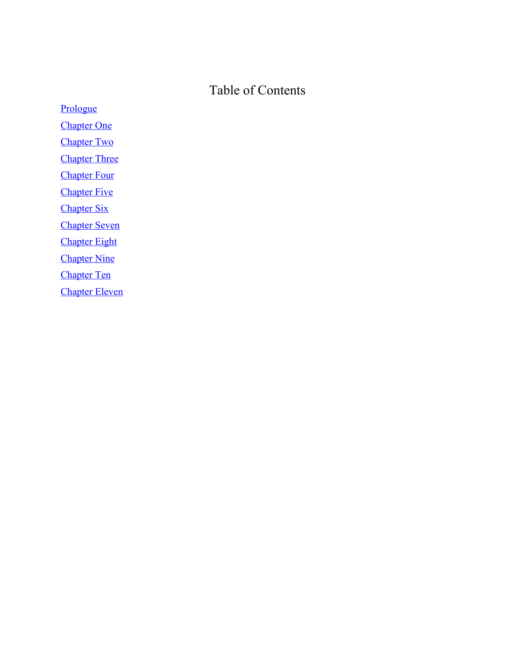# Table of Contents

[Prologue](#page-3-0) [Chapter One](#page-5-0) **[Chapter Two](#page-14-0)** [Chapter Three](#page-20-0) **[Chapter Four](#page-27-0) [Chapter Five](#page-31-0)** [Chapter Six](#page-33-0) [Chapter Seven](#page-38-0) [Chapter Eight](#page-40-0) **[Chapter Nine](#page-44-0)** [Chapter Ten](#page-46-0) [Chapter Eleven](#page-50-0)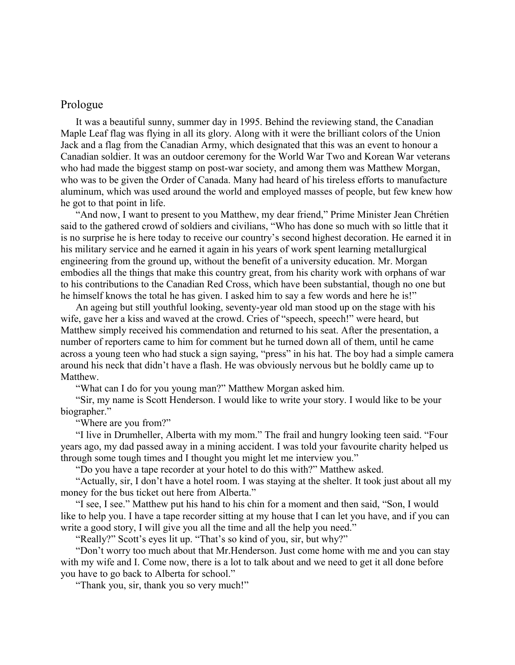### <span id="page-3-0"></span>Prologue

It was a beautiful sunny, summer day in 1995. Behind the reviewing stand, the Canadian Maple Leaf flag was flying in all its glory. Along with it were the brilliant colors of the Union Jack and a flag from the Canadian Army, which designated that this was an event to honour a Canadian soldier. It was an outdoor ceremony for the World War Two and Korean War veterans who had made the biggest stamp on post-war society, and among them was Matthew Morgan, who was to be given the Order of Canada. Many had heard of his tireless efforts to manufacture aluminum, which was used around the world and employed masses of people, but few knew how he got to that point in life.

"And now, I want to present to you Matthew, my dear friend," Prime Minister Jean Chrétien said to the gathered crowd of soldiers and civilians, "Who has done so much with so little that it is no surprise he is here today to receive our country's second highest decoration. He earned it in his military service and he earned it again in his years of work spent learning metallurgical engineering from the ground up, without the benefit of a university education. Mr. Morgan embodies all the things that make this country great, from his charity work with orphans of war to his contributions to the Canadian Red Cross, which have been substantial, though no one but he himself knows the total he has given. I asked him to say a few words and here he is!"

An ageing but still youthful looking, seventy-year old man stood up on the stage with his wife, gave her a kiss and waved at the crowd. Cries of "speech, speech!" were heard, but Matthew simply received his commendation and returned to his seat. After the presentation, a number of reporters came to him for comment but he turned down all of them, until he came across a young teen who had stuck a sign saying, "press" in his hat. The boy had a simple camera around his neck that didn't have a flash. He was obviously nervous but he boldly came up to Matthew.

"What can I do for you young man?" Matthew Morgan asked him.

"Sir, my name is Scott Henderson. I would like to write your story. I would like to be your biographer."

"Where are you from?"

"I live in Drumheller, Alberta with my mom." The frail and hungry looking teen said. "Four years ago, my dad passed away in a mining accident. I was told your favourite charity helped us through some tough times and I thought you might let me interview you."

"Do you have a tape recorder at your hotel to do this with?" Matthew asked.

"Actually, sir, I don't have a hotel room. I was staying at the shelter. It took just about all my money for the bus ticket out here from Alberta."

"I see, I see." Matthew put his hand to his chin for a moment and then said, "Son, I would like to help you. I have a tape recorder sitting at my house that I can let you have, and if you can write a good story, I will give you all the time and all the help you need."

"Really?" Scott's eyes lit up. "That's so kind of you, sir, but why?"

"Don't worry too much about that Mr.Henderson. Just come home with me and you can stay with my wife and I. Come now, there is a lot to talk about and we need to get it all done before you have to go back to Alberta for school."

"Thank you, sir, thank you so very much!"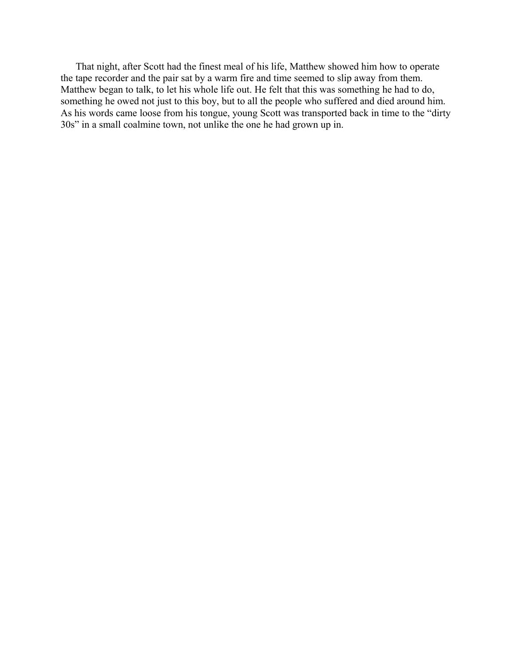That night, after Scott had the finest meal of his life, Matthew showed him how to operate the tape recorder and the pair sat by a warm fire and time seemed to slip away from them. Matthew began to talk, to let his whole life out. He felt that this was something he had to do, something he owed not just to this boy, but to all the people who suffered and died around him. As his words came loose from his tongue, young Scott was transported back in time to the "dirty 30s" in a small coalmine town, not unlike the one he had grown up in.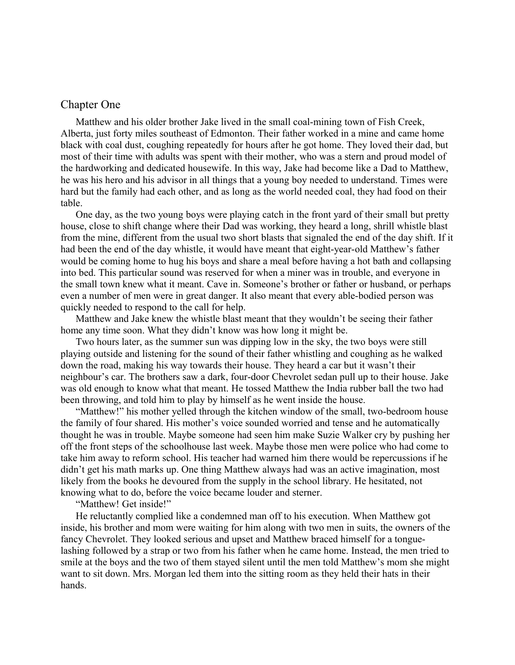### <span id="page-5-0"></span>Chapter One

Matthew and his older brother Jake lived in the small coal-mining town of Fish Creek, Alberta, just forty miles southeast of Edmonton. Their father worked in a mine and came home black with coal dust, coughing repeatedly for hours after he got home. They loved their dad, but most of their time with adults was spent with their mother, who was a stern and proud model of the hardworking and dedicated housewife. In this way, Jake had become like a Dad to Matthew, he was his hero and his advisor in all things that a young boy needed to understand. Times were hard but the family had each other, and as long as the world needed coal, they had food on their table.

One day, as the two young boys were playing catch in the front yard of their small but pretty house, close to shift change where their Dad was working, they heard a long, shrill whistle blast from the mine, different from the usual two short blasts that signaled the end of the day shift. If it had been the end of the day whistle, it would have meant that eight-year-old Matthew's father would be coming home to hug his boys and share a meal before having a hot bath and collapsing into bed. This particular sound was reserved for when a miner was in trouble, and everyone in the small town knew what it meant. Cave in. Someone's brother or father or husband, or perhaps even a number of men were in great danger. It also meant that every able-bodied person was quickly needed to respond to the call for help.

Matthew and Jake knew the whistle blast meant that they wouldn't be seeing their father home any time soon. What they didn't know was how long it might be.

Two hours later, as the summer sun was dipping low in the sky, the two boys were still playing outside and listening for the sound of their father whistling and coughing as he walked down the road, making his way towards their house. They heard a car but it wasn't their neighbour's car. The brothers saw a dark, four-door Chevrolet sedan pull up to their house. Jake was old enough to know what that meant. He tossed Matthew the India rubber ball the two had been throwing, and told him to play by himself as he went inside the house.

"Matthew!" his mother yelled through the kitchen window of the small, two-bedroom house the family of four shared. His mother's voice sounded worried and tense and he automatically thought he was in trouble. Maybe someone had seen him make Suzie Walker cry by pushing her off the front steps of the schoolhouse last week. Maybe those men were police who had come to take him away to reform school. His teacher had warned him there would be repercussions if he didn't get his math marks up. One thing Matthew always had was an active imagination, most likely from the books he devoured from the supply in the school library. He hesitated, not knowing what to do, before the voice became louder and sterner.

"Matthew! Get inside!"

He reluctantly complied like a condemned man off to his execution. When Matthew got inside, his brother and mom were waiting for him along with two men in suits, the owners of the fancy Chevrolet. They looked serious and upset and Matthew braced himself for a tonguelashing followed by a strap or two from his father when he came home. Instead, the men tried to smile at the boys and the two of them stayed silent until the men told Matthew's mom she might want to sit down. Mrs. Morgan led them into the sitting room as they held their hats in their hands.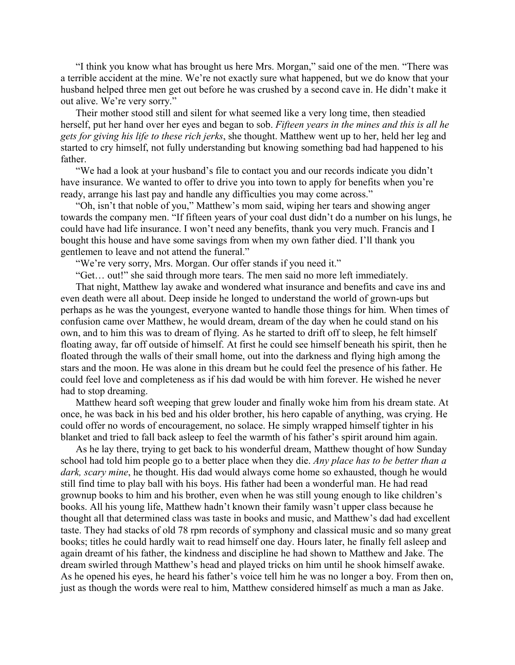"I think you know what has brought us here Mrs. Morgan," said one of the men. "There was a terrible accident at the mine. We're not exactly sure what happened, but we do know that your husband helped three men get out before he was crushed by a second cave in. He didn't make it out alive. We're very sorry."

Their mother stood still and silent for what seemed like a very long time, then steadied herself, put her hand over her eyes and began to sob. *Fifteen years in the mines and this is all he gets for giving his life to these rich jerks*, she thought. Matthew went up to her, held her leg and started to cry himself, not fully understanding but knowing something bad had happened to his father.

"We had a look at your husband's file to contact you and our records indicate you didn't have insurance. We wanted to offer to drive you into town to apply for benefits when you're ready, arrange his last pay and handle any difficulties you may come across."

"Oh, isn't that noble of you," Matthew's mom said, wiping her tears and showing anger towards the company men. "If fifteen years of your coal dust didn't do a number on his lungs, he could have had life insurance. I won't need any benefits, thank you very much. Francis and I bought this house and have some savings from when my own father died. I'll thank you gentlemen to leave and not attend the funeral."

"We're very sorry, Mrs. Morgan. Our offer stands if you need it."

"Get… out!" she said through more tears. The men said no more left immediately.

That night, Matthew lay awake and wondered what insurance and benefits and cave ins and even death were all about. Deep inside he longed to understand the world of grown-ups but perhaps as he was the youngest, everyone wanted to handle those things for him. When times of confusion came over Matthew, he would dream, dream of the day when he could stand on his own, and to him this was to dream of flying. As he started to drift off to sleep, he felt himself floating away, far off outside of himself. At first he could see himself beneath his spirit, then he floated through the walls of their small home, out into the darkness and flying high among the stars and the moon. He was alone in this dream but he could feel the presence of his father. He could feel love and completeness as if his dad would be with him forever. He wished he never had to stop dreaming.

Matthew heard soft weeping that grew louder and finally woke him from his dream state. At once, he was back in his bed and his older brother, his hero capable of anything, was crying. He could offer no words of encouragement, no solace. He simply wrapped himself tighter in his blanket and tried to fall back asleep to feel the warmth of his father's spirit around him again.

As he lay there, trying to get back to his wonderful dream, Matthew thought of how Sunday school had told him people go to a better place when they die. *Any place has to be better than a dark, scary mine*, he thought. His dad would always come home so exhausted, though he would still find time to play ball with his boys. His father had been a wonderful man. He had read grownup books to him and his brother, even when he was still young enough to like children's books. All his young life, Matthew hadn't known their family wasn't upper class because he thought all that determined class was taste in books and music, and Matthew's dad had excellent taste. They had stacks of old 78 rpm records of symphony and classical music and so many great books; titles he could hardly wait to read himself one day. Hours later, he finally fell asleep and again dreamt of his father, the kindness and discipline he had shown to Matthew and Jake. The dream swirled through Matthew's head and played tricks on him until he shook himself awake. As he opened his eyes, he heard his father's voice tell him he was no longer a boy. From then on, just as though the words were real to him, Matthew considered himself as much a man as Jake.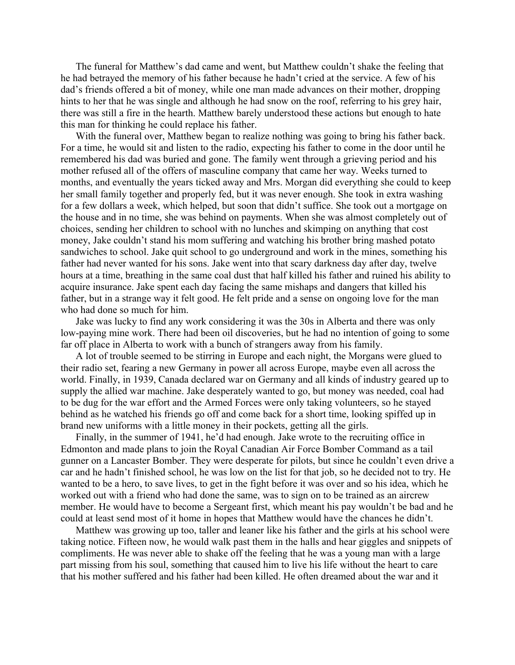The funeral for Matthew's dad came and went, but Matthew couldn't shake the feeling that he had betrayed the memory of his father because he hadn't cried at the service. A few of his dad's friends offered a bit of money, while one man made advances on their mother, dropping hints to her that he was single and although he had snow on the roof, referring to his grey hair, there was still a fire in the hearth. Matthew barely understood these actions but enough to hate this man for thinking he could replace his father.

With the funeral over, Matthew began to realize nothing was going to bring his father back. For a time, he would sit and listen to the radio, expecting his father to come in the door until he remembered his dad was buried and gone. The family went through a grieving period and his mother refused all of the offers of masculine company that came her way. Weeks turned to months, and eventually the years ticked away and Mrs. Morgan did everything she could to keep her small family together and properly fed, but it was never enough. She took in extra washing for a few dollars a week, which helped, but soon that didn't suffice. She took out a mortgage on the house and in no time, she was behind on payments. When she was almost completely out of choices, sending her children to school with no lunches and skimping on anything that cost money, Jake couldn't stand his mom suffering and watching his brother bring mashed potato sandwiches to school. Jake quit school to go underground and work in the mines, something his father had never wanted for his sons. Jake went into that scary darkness day after day, twelve hours at a time, breathing in the same coal dust that half killed his father and ruined his ability to acquire insurance. Jake spent each day facing the same mishaps and dangers that killed his father, but in a strange way it felt good. He felt pride and a sense on ongoing love for the man who had done so much for him.

Jake was lucky to find any work considering it was the 30s in Alberta and there was only low-paying mine work. There had been oil discoveries, but he had no intention of going to some far off place in Alberta to work with a bunch of strangers away from his family.

A lot of trouble seemed to be stirring in Europe and each night, the Morgans were glued to their radio set, fearing a new Germany in power all across Europe, maybe even all across the world. Finally, in 1939, Canada declared war on Germany and all kinds of industry geared up to supply the allied war machine. Jake desperately wanted to go, but money was needed, coal had to be dug for the war effort and the Armed Forces were only taking volunteers, so he stayed behind as he watched his friends go off and come back for a short time, looking spiffed up in brand new uniforms with a little money in their pockets, getting all the girls.

Finally, in the summer of 1941, he'd had enough. Jake wrote to the recruiting office in Edmonton and made plans to join the Royal Canadian Air Force Bomber Command as a tail gunner on a Lancaster Bomber. They were desperate for pilots, but since he couldn't even drive a car and he hadn't finished school, he was low on the list for that job, so he decided not to try. He wanted to be a hero, to save lives, to get in the fight before it was over and so his idea, which he worked out with a friend who had done the same, was to sign on to be trained as an aircrew member. He would have to become a Sergeant first, which meant his pay wouldn't be bad and he could at least send most of it home in hopes that Matthew would have the chances he didn't.

Matthew was growing up too, taller and leaner like his father and the girls at his school were taking notice. Fifteen now, he would walk past them in the halls and hear giggles and snippets of compliments. He was never able to shake off the feeling that he was a young man with a large part missing from his soul, something that caused him to live his life without the heart to care that his mother suffered and his father had been killed. He often dreamed about the war and it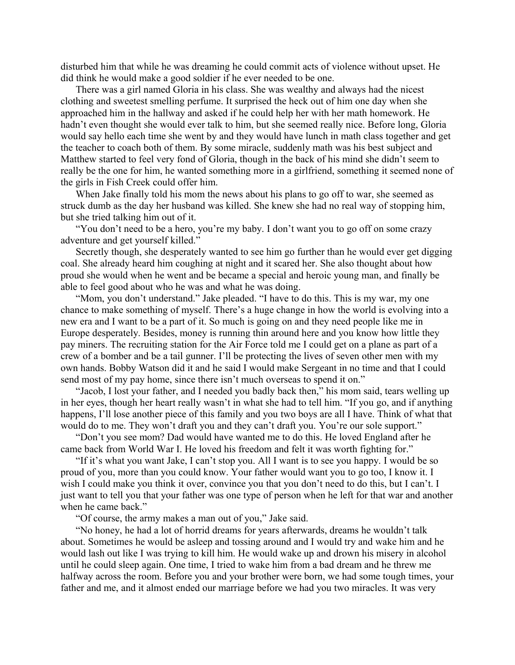disturbed him that while he was dreaming he could commit acts of violence without upset. He did think he would make a good soldier if he ever needed to be one.

There was a girl named Gloria in his class. She was wealthy and always had the nicest clothing and sweetest smelling perfume. It surprised the heck out of him one day when she approached him in the hallway and asked if he could help her with her math homework. He hadn't even thought she would ever talk to him, but she seemed really nice. Before long, Gloria would say hello each time she went by and they would have lunch in math class together and get the teacher to coach both of them. By some miracle, suddenly math was his best subject and Matthew started to feel very fond of Gloria, though in the back of his mind she didn't seem to really be the one for him, he wanted something more in a girlfriend, something it seemed none of the girls in Fish Creek could offer him.

When Jake finally told his mom the news about his plans to go off to war, she seemed as struck dumb as the day her husband was killed. She knew she had no real way of stopping him, but she tried talking him out of it.

"You don't need to be a hero, you're my baby. I don't want you to go off on some crazy adventure and get yourself killed."

Secretly though, she desperately wanted to see him go further than he would ever get digging coal. She already heard him coughing at night and it scared her. She also thought about how proud she would when he went and be became a special and heroic young man, and finally be able to feel good about who he was and what he was doing.

"Mom, you don't understand." Jake pleaded. "I have to do this. This is my war, my one chance to make something of myself. There's a huge change in how the world is evolving into a new era and I want to be a part of it. So much is going on and they need people like me in Europe desperately. Besides, money is running thin around here and you know how little they pay miners. The recruiting station for the Air Force told me I could get on a plane as part of a crew of a bomber and be a tail gunner. I'll be protecting the lives of seven other men with my own hands. Bobby Watson did it and he said I would make Sergeant in no time and that I could send most of my pay home, since there isn't much overseas to spend it on."

"Jacob, I lost your father, and I needed you badly back then," his mom said, tears welling up in her eyes, though her heart really wasn't in what she had to tell him. "If you go, and if anything happens, I'll lose another piece of this family and you two boys are all I have. Think of what that would do to me. They won't draft you and they can't draft you. You're our sole support."

"Don't you see mom? Dad would have wanted me to do this. He loved England after he came back from World War I. He loved his freedom and felt it was worth fighting for."

"If it's what you want Jake, I can't stop you. All I want is to see you happy. I would be so proud of you, more than you could know. Your father would want you to go too, I know it. I wish I could make you think it over, convince you that you don't need to do this, but I can't. I just want to tell you that your father was one type of person when he left for that war and another when he came back."

"Of course, the army makes a man out of you," Jake said.

"No honey, he had a lot of horrid dreams for years afterwards, dreams he wouldn't talk about. Sometimes he would be asleep and tossing around and I would try and wake him and he would lash out like I was trying to kill him. He would wake up and drown his misery in alcohol until he could sleep again. One time, I tried to wake him from a bad dream and he threw me halfway across the room. Before you and your brother were born, we had some tough times, your father and me, and it almost ended our marriage before we had you two miracles. It was very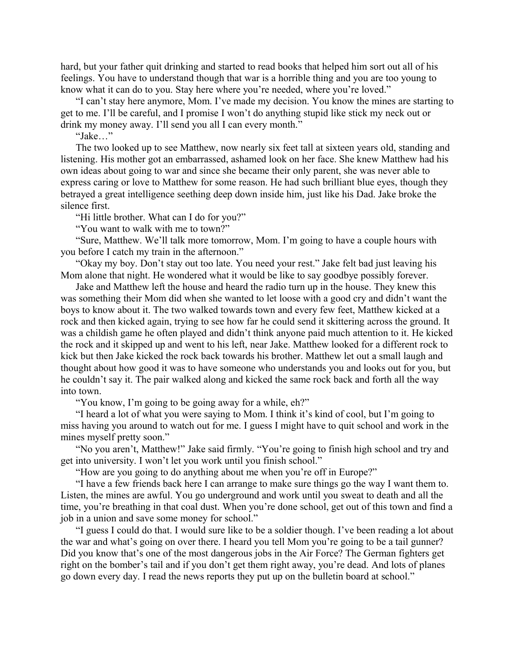hard, but your father quit drinking and started to read books that helped him sort out all of his feelings. You have to understand though that war is a horrible thing and you are too young to know what it can do to you. Stay here where you're needed, where you're loved."

"I can't stay here anymore, Mom. I've made my decision. You know the mines are starting to get to me. I'll be careful, and I promise I won't do anything stupid like stick my neck out or drink my money away. I'll send you all I can every month."

"Jake…"

The two looked up to see Matthew, now nearly six feet tall at sixteen years old, standing and listening. His mother got an embarrassed, ashamed look on her face. She knew Matthew had his own ideas about going to war and since she became their only parent, she was never able to express caring or love to Matthew for some reason. He had such brilliant blue eyes, though they betrayed a great intelligence seething deep down inside him, just like his Dad. Jake broke the silence first.

"Hi little brother. What can I do for you?"

"You want to walk with me to town?"

"Sure, Matthew. We'll talk more tomorrow, Mom. I'm going to have a couple hours with you before I catch my train in the afternoon."

"Okay my boy. Don't stay out too late. You need your rest." Jake felt bad just leaving his Mom alone that night. He wondered what it would be like to say goodbye possibly forever.

Jake and Matthew left the house and heard the radio turn up in the house. They knew this was something their Mom did when she wanted to let loose with a good cry and didn't want the boys to know about it. The two walked towards town and every few feet, Matthew kicked at a rock and then kicked again, trying to see how far he could send it skittering across the ground. It was a childish game he often played and didn't think anyone paid much attention to it. He kicked the rock and it skipped up and went to his left, near Jake. Matthew looked for a different rock to kick but then Jake kicked the rock back towards his brother. Matthew let out a small laugh and thought about how good it was to have someone who understands you and looks out for you, but he couldn't say it. The pair walked along and kicked the same rock back and forth all the way into town.

"You know, I'm going to be going away for a while, eh?"

"I heard a lot of what you were saying to Mom. I think it's kind of cool, but I'm going to miss having you around to watch out for me. I guess I might have to quit school and work in the mines myself pretty soon."

"No you aren't, Matthew!" Jake said firmly. "You're going to finish high school and try and get into university. I won't let you work until you finish school."

"How are you going to do anything about me when you're off in Europe?"

"I have a few friends back here I can arrange to make sure things go the way I want them to. Listen, the mines are awful. You go underground and work until you sweat to death and all the time, you're breathing in that coal dust. When you're done school, get out of this town and find a job in a union and save some money for school."

"I guess I could do that. I would sure like to be a soldier though. I've been reading a lot about the war and what's going on over there. I heard you tell Mom you're going to be a tail gunner? Did you know that's one of the most dangerous jobs in the Air Force? The German fighters get right on the bomber's tail and if you don't get them right away, you're dead. And lots of planes go down every day. I read the news reports they put up on the bulletin board at school."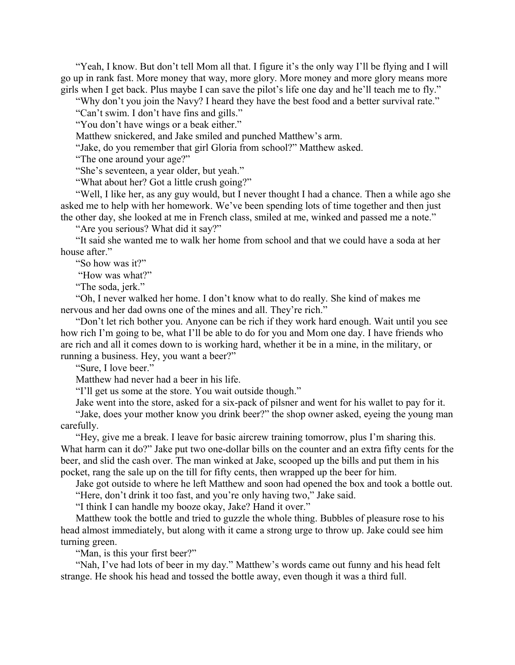"Yeah, I know. But don't tell Mom all that. I figure it's the only way I'll be flying and I will go up in rank fast. More money that way, more glory. More money and more glory means more girls when I get back. Plus maybe I can save the pilot's life one day and he'll teach me to fly."

"Why don't you join the Navy? I heard they have the best food and a better survival rate."

"Can't swim. I don't have fins and gills."

"You don't have wings or a beak either."

Matthew snickered, and Jake smiled and punched Matthew's arm.

"Jake, do you remember that girl Gloria from school?" Matthew asked.

"The one around your age?"

"She's seventeen, a year older, but yeah."

"What about her? Got a little crush going?"

"Well, I like her, as any guy would, but I never thought I had a chance. Then a while ago she asked me to help with her homework. We've been spending lots of time together and then just the other day, she looked at me in French class, smiled at me, winked and passed me a note."

"Are you serious? What did it say?"

"It said she wanted me to walk her home from school and that we could have a soda at her house after."

"So how was it?"

"How was what?"

"The soda, jerk."

"Oh, I never walked her home. I don't know what to do really. She kind of makes me nervous and her dad owns one of the mines and all. They're rich."

"Don't let rich bother you. Anyone can be rich if they work hard enough. Wait until you see how rich I'm going to be, what I'll be able to do for you and Mom one day. I have friends who are rich and all it comes down to is working hard, whether it be in a mine, in the military, or running a business. Hey, you want a beer?"

"Sure, I love beer."

Matthew had never had a beer in his life.

"I'll get us some at the store. You wait outside though."

Jake went into the store, asked for a six-pack of pilsner and went for his wallet to pay for it. "Jake, does your mother know you drink beer?" the shop owner asked, eyeing the young man carefully.

"Hey, give me a break. I leave for basic aircrew training tomorrow, plus I'm sharing this. What harm can it do?" Jake put two one-dollar bills on the counter and an extra fifty cents for the beer, and slid the cash over. The man winked at Jake, scooped up the bills and put them in his pocket, rang the sale up on the till for fifty cents, then wrapped up the beer for him.

Jake got outside to where he left Matthew and soon had opened the box and took a bottle out. "Here, don't drink it too fast, and you're only having two," Jake said.

"I think I can handle my booze okay, Jake? Hand it over."

Matthew took the bottle and tried to guzzle the whole thing. Bubbles of pleasure rose to his head almost immediately, but along with it came a strong urge to throw up. Jake could see him turning green.

"Man, is this your first beer?"

"Nah, I've had lots of beer in my day." Matthew's words came out funny and his head felt strange. He shook his head and tossed the bottle away, even though it was a third full.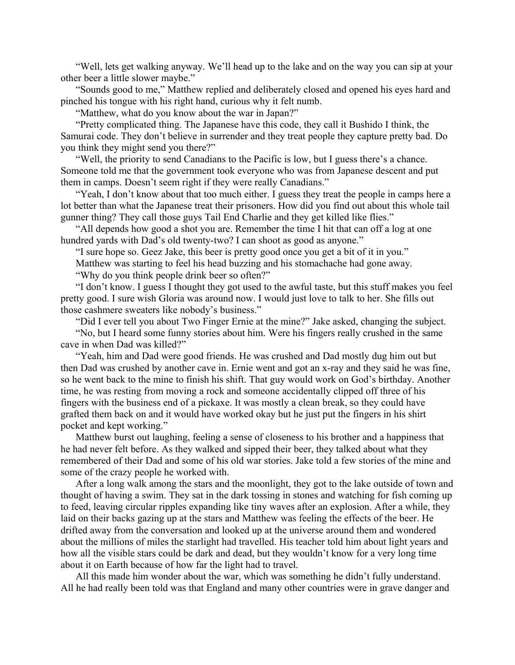"Well, lets get walking anyway. We'll head up to the lake and on the way you can sip at your other beer a little slower maybe."

"Sounds good to me," Matthew replied and deliberately closed and opened his eyes hard and pinched his tongue with his right hand, curious why it felt numb.

"Matthew, what do you know about the war in Japan?"

"Pretty complicated thing. The Japanese have this code, they call it Bushido I think, the Samurai code. They don't believe in surrender and they treat people they capture pretty bad. Do you think they might send you there?"

"Well, the priority to send Canadians to the Pacific is low, but I guess there's a chance. Someone told me that the government took everyone who was from Japanese descent and put them in camps. Doesn't seem right if they were really Canadians."

"Yeah, I don't know about that too much either. I guess they treat the people in camps here a lot better than what the Japanese treat their prisoners. How did you find out about this whole tail gunner thing? They call those guys Tail End Charlie and they get killed like flies."

"All depends how good a shot you are. Remember the time I hit that can off a log at one hundred yards with Dad's old twenty-two? I can shoot as good as anyone."

"I sure hope so. Geez Jake, this beer is pretty good once you get a bit of it in you."

Matthew was starting to feel his head buzzing and his stomachache had gone away.

"Why do you think people drink beer so often?"

"I don't know. I guess I thought they got used to the awful taste, but this stuff makes you feel pretty good. I sure wish Gloria was around now. I would just love to talk to her. She fills out those cashmere sweaters like nobody's business."

"Did I ever tell you about Two Finger Ernie at the mine?" Jake asked, changing the subject.

"No, but I heard some funny stories about him. Were his fingers really crushed in the same cave in when Dad was killed?"

"Yeah, him and Dad were good friends. He was crushed and Dad mostly dug him out but then Dad was crushed by another cave in. Ernie went and got an x-ray and they said he was fine, so he went back to the mine to finish his shift. That guy would work on God's birthday. Another time, he was resting from moving a rock and someone accidentally clipped off three of his fingers with the business end of a pickaxe. It was mostly a clean break, so they could have grafted them back on and it would have worked okay but he just put the fingers in his shirt pocket and kept working."

Matthew burst out laughing, feeling a sense of closeness to his brother and a happiness that he had never felt before. As they walked and sipped their beer, they talked about what they remembered of their Dad and some of his old war stories. Jake told a few stories of the mine and some of the crazy people he worked with.

After a long walk among the stars and the moonlight, they got to the lake outside of town and thought of having a swim. They sat in the dark tossing in stones and watching for fish coming up to feed, leaving circular ripples expanding like tiny waves after an explosion. After a while, they laid on their backs gazing up at the stars and Matthew was feeling the effects of the beer. He drifted away from the conversation and looked up at the universe around them and wondered about the millions of miles the starlight had travelled. His teacher told him about light years and how all the visible stars could be dark and dead, but they wouldn't know for a very long time about it on Earth because of how far the light had to travel.

All this made him wonder about the war, which was something he didn't fully understand. All he had really been told was that England and many other countries were in grave danger and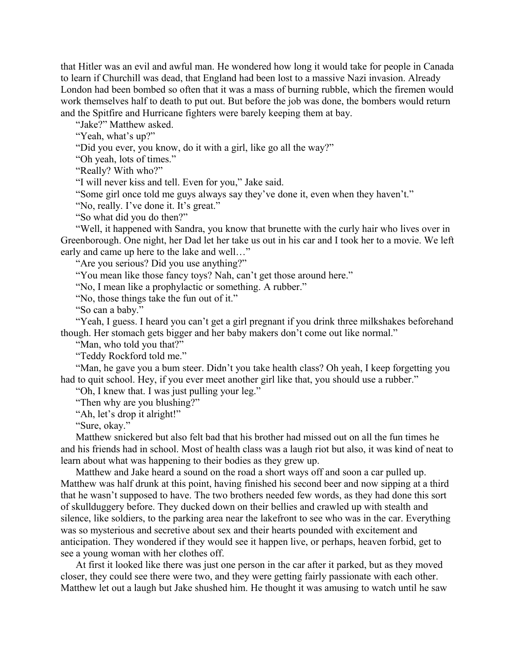that Hitler was an evil and awful man. He wondered how long it would take for people in Canada to learn if Churchill was dead, that England had been lost to a massive Nazi invasion. Already London had been bombed so often that it was a mass of burning rubble, which the firemen would work themselves half to death to put out. But before the job was done, the bombers would return and the Spitfire and Hurricane fighters were barely keeping them at bay.

"Jake?" Matthew asked.

"Yeah, what's up?"

"Did you ever, you know, do it with a girl, like go all the way?"

"Oh yeah, lots of times."

"Really? With who?"

"I will never kiss and tell. Even for you," Jake said.

"Some girl once told me guys always say they've done it, even when they haven't."

"No, really. I've done it. It's great."

"So what did you do then?"

"Well, it happened with Sandra, you know that brunette with the curly hair who lives over in Greenborough. One night, her Dad let her take us out in his car and I took her to a movie. We left early and came up here to the lake and well…"

"Are you serious? Did you use anything?"

"You mean like those fancy toys? Nah, can't get those around here."

"No, I mean like a prophylactic or something. A rubber."

"No, those things take the fun out of it."

"So can a baby."

"Yeah, I guess. I heard you can't get a girl pregnant if you drink three milkshakes beforehand though. Her stomach gets bigger and her baby makers don't come out like normal."

"Man, who told you that?"

"Teddy Rockford told me."

"Man, he gave you a bum steer. Didn't you take health class? Oh yeah, I keep forgetting you had to quit school. Hey, if you ever meet another girl like that, you should use a rubber."

"Oh, I knew that. I was just pulling your leg."

"Then why are you blushing?"

"Ah, let's drop it alright!"

"Sure, okay."

Matthew snickered but also felt bad that his brother had missed out on all the fun times he and his friends had in school. Most of health class was a laugh riot but also, it was kind of neat to learn about what was happening to their bodies as they grew up.

Matthew and Jake heard a sound on the road a short ways off and soon a car pulled up. Matthew was half drunk at this point, having finished his second beer and now sipping at a third that he wasn't supposed to have. The two brothers needed few words, as they had done this sort of skullduggery before. They ducked down on their bellies and crawled up with stealth and silence, like soldiers, to the parking area near the lakefront to see who was in the car. Everything was so mysterious and secretive about sex and their hearts pounded with excitement and anticipation. They wondered if they would see it happen live, or perhaps, heaven forbid, get to see a young woman with her clothes off.

At first it looked like there was just one person in the car after it parked, but as they moved closer, they could see there were two, and they were getting fairly passionate with each other. Matthew let out a laugh but Jake shushed him. He thought it was amusing to watch until he saw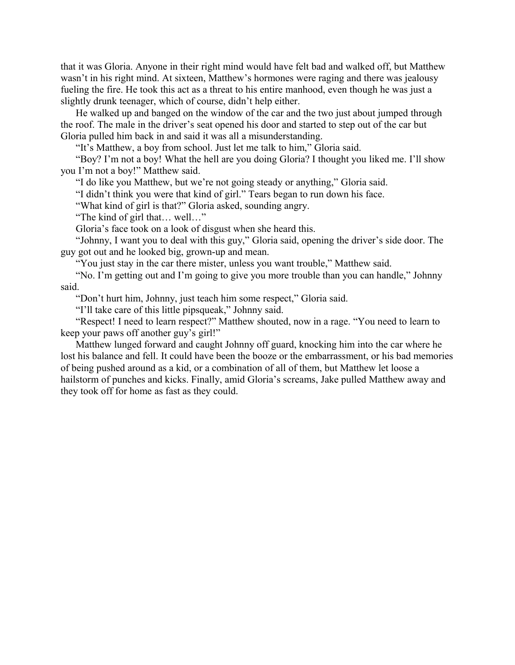that it was Gloria. Anyone in their right mind would have felt bad and walked off, but Matthew wasn't in his right mind. At sixteen, Matthew's hormones were raging and there was jealousy fueling the fire. He took this act as a threat to his entire manhood, even though he was just a slightly drunk teenager, which of course, didn't help either.

He walked up and banged on the window of the car and the two just about jumped through the roof. The male in the driver's seat opened his door and started to step out of the car but Gloria pulled him back in and said it was all a misunderstanding.

"It's Matthew, a boy from school. Just let me talk to him," Gloria said.

"Boy? I'm not a boy! What the hell are you doing Gloria? I thought you liked me. I'll show you I'm not a boy!" Matthew said.

"I do like you Matthew, but we're not going steady or anything," Gloria said.

"I didn't think you were that kind of girl." Tears began to run down his face.

"What kind of girl is that?" Gloria asked, sounding angry.

"The kind of girl that… well…"

Gloria's face took on a look of disgust when she heard this.

"Johnny, I want you to deal with this guy," Gloria said, opening the driver's side door. The guy got out and he looked big, grown-up and mean.

"You just stay in the car there mister, unless you want trouble," Matthew said.

"No. I'm getting out and I'm going to give you more trouble than you can handle," Johnny said.

"Don't hurt him, Johnny, just teach him some respect," Gloria said.

"I'll take care of this little pipsqueak," Johnny said.

"Respect! I need to learn respect?" Matthew shouted, now in a rage. "You need to learn to keep your paws off another guy's girl!"

Matthew lunged forward and caught Johnny off guard, knocking him into the car where he lost his balance and fell. It could have been the booze or the embarrassment, or his bad memories of being pushed around as a kid, or a combination of all of them, but Matthew let loose a hailstorm of punches and kicks. Finally, amid Gloria's screams, Jake pulled Matthew away and they took off for home as fast as they could.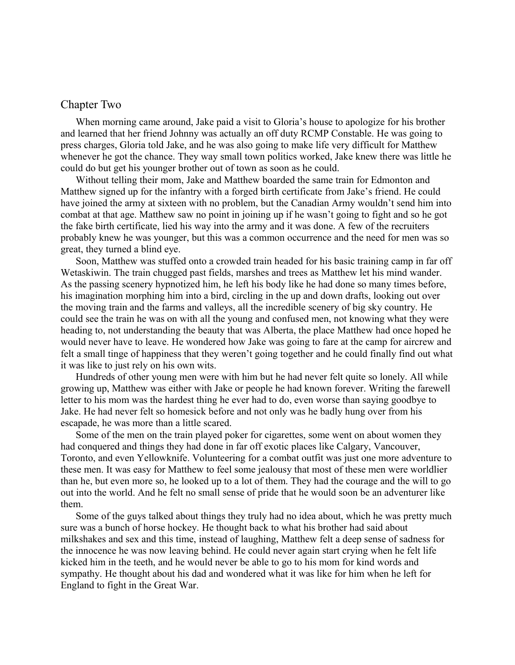### <span id="page-14-0"></span>Chapter Two

When morning came around, Jake paid a visit to Gloria's house to apologize for his brother and learned that her friend Johnny was actually an off duty RCMP Constable. He was going to press charges, Gloria told Jake, and he was also going to make life very difficult for Matthew whenever he got the chance. They way small town politics worked, Jake knew there was little he could do but get his younger brother out of town as soon as he could.

Without telling their mom, Jake and Matthew boarded the same train for Edmonton and Matthew signed up for the infantry with a forged birth certificate from Jake's friend. He could have joined the army at sixteen with no problem, but the Canadian Army wouldn't send him into combat at that age. Matthew saw no point in joining up if he wasn't going to fight and so he got the fake birth certificate, lied his way into the army and it was done. A few of the recruiters probably knew he was younger, but this was a common occurrence and the need for men was so great, they turned a blind eye.

Soon, Matthew was stuffed onto a crowded train headed for his basic training camp in far off Wetaskiwin. The train chugged past fields, marshes and trees as Matthew let his mind wander. As the passing scenery hypnotized him, he left his body like he had done so many times before, his imagination morphing him into a bird, circling in the up and down drafts, looking out over the moving train and the farms and valleys, all the incredible scenery of big sky country. He could see the train he was on with all the young and confused men, not knowing what they were heading to, not understanding the beauty that was Alberta, the place Matthew had once hoped he would never have to leave. He wondered how Jake was going to fare at the camp for aircrew and felt a small tinge of happiness that they weren't going together and he could finally find out what it was like to just rely on his own wits.

Hundreds of other young men were with him but he had never felt quite so lonely. All while growing up, Matthew was either with Jake or people he had known forever. Writing the farewell letter to his mom was the hardest thing he ever had to do, even worse than saying goodbye to Jake. He had never felt so homesick before and not only was he badly hung over from his escapade, he was more than a little scared.

Some of the men on the train played poker for cigarettes, some went on about women they had conquered and things they had done in far off exotic places like Calgary, Vancouver, Toronto, and even Yellowknife. Volunteering for a combat outfit was just one more adventure to these men. It was easy for Matthew to feel some jealousy that most of these men were worldlier than he, but even more so, he looked up to a lot of them. They had the courage and the will to go out into the world. And he felt no small sense of pride that he would soon be an adventurer like them.

Some of the guys talked about things they truly had no idea about, which he was pretty much sure was a bunch of horse hockey. He thought back to what his brother had said about milkshakes and sex and this time, instead of laughing, Matthew felt a deep sense of sadness for the innocence he was now leaving behind. He could never again start crying when he felt life kicked him in the teeth, and he would never be able to go to his mom for kind words and sympathy. He thought about his dad and wondered what it was like for him when he left for England to fight in the Great War.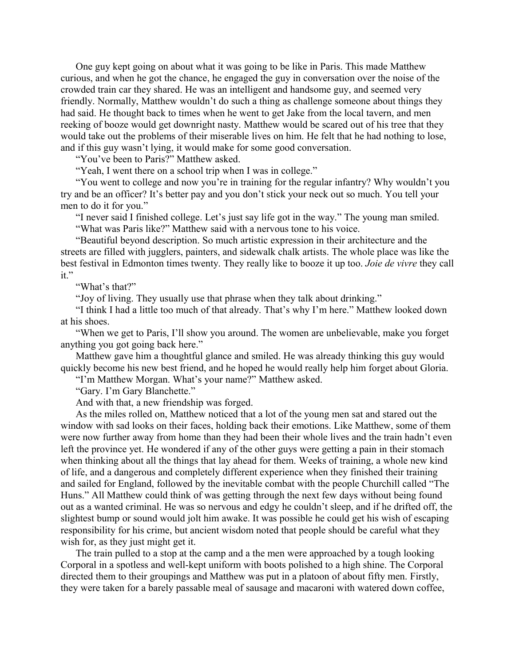One guy kept going on about what it was going to be like in Paris. This made Matthew curious, and when he got the chance, he engaged the guy in conversation over the noise of the crowded train car they shared. He was an intelligent and handsome guy, and seemed very friendly. Normally, Matthew wouldn't do such a thing as challenge someone about things they had said. He thought back to times when he went to get Jake from the local tavern, and men reeking of booze would get downright nasty. Matthew would be scared out of his tree that they would take out the problems of their miserable lives on him. He felt that he had nothing to lose, and if this guy wasn't lying, it would make for some good conversation.

"You've been to Paris?" Matthew asked.

"Yeah, I went there on a school trip when I was in college."

"You went to college and now you're in training for the regular infantry? Why wouldn't you try and be an officer? It's better pay and you don't stick your neck out so much. You tell your men to do it for you."

"I never said I finished college. Let's just say life got in the way." The young man smiled.

"What was Paris like?" Matthew said with a nervous tone to his voice.

"Beautiful beyond description. So much artistic expression in their architecture and the streets are filled with jugglers, painters, and sidewalk chalk artists. The whole place was like the best festival in Edmonton times twenty. They really like to booze it up too. *Joie de vivre* they call it."

"What's that?"

"Joy of living. They usually use that phrase when they talk about drinking."

"I think I had a little too much of that already. That's why I'm here." Matthew looked down at his shoes.

"When we get to Paris, I'll show you around. The women are unbelievable, make you forget anything you got going back here."

Matthew gave him a thoughtful glance and smiled. He was already thinking this guy would quickly become his new best friend, and he hoped he would really help him forget about Gloria.

"I'm Matthew Morgan. What's your name?" Matthew asked.

"Gary. I'm Gary Blanchette."

And with that, a new friendship was forged.

As the miles rolled on, Matthew noticed that a lot of the young men sat and stared out the window with sad looks on their faces, holding back their emotions. Like Matthew, some of them were now further away from home than they had been their whole lives and the train hadn't even left the province yet. He wondered if any of the other guys were getting a pain in their stomach when thinking about all the things that lay ahead for them. Weeks of training, a whole new kind of life, and a dangerous and completely different experience when they finished their training and sailed for England, followed by the inevitable combat with the people Churchill called "The Huns." All Matthew could think of was getting through the next few days without being found out as a wanted criminal. He was so nervous and edgy he couldn't sleep, and if he drifted off, the slightest bump or sound would jolt him awake. It was possible he could get his wish of escaping responsibility for his crime, but ancient wisdom noted that people should be careful what they wish for, as they just might get it.

The train pulled to a stop at the camp and a the men were approached by a tough looking Corporal in a spotless and well-kept uniform with boots polished to a high shine. The Corporal directed them to their groupings and Matthew was put in a platoon of about fifty men. Firstly, they were taken for a barely passable meal of sausage and macaroni with watered down coffee,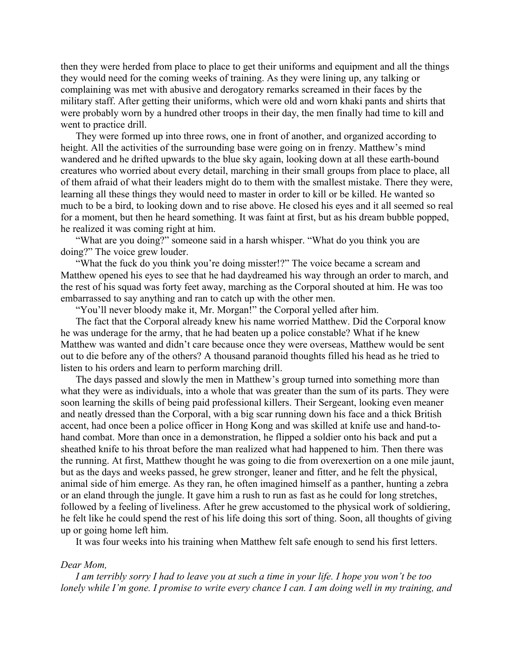then they were herded from place to place to get their uniforms and equipment and all the things they would need for the coming weeks of training. As they were lining up, any talking or complaining was met with abusive and derogatory remarks screamed in their faces by the military staff. After getting their uniforms, which were old and worn khaki pants and shirts that were probably worn by a hundred other troops in their day, the men finally had time to kill and went to practice drill.

They were formed up into three rows, one in front of another, and organized according to height. All the activities of the surrounding base were going on in frenzy. Matthew's mind wandered and he drifted upwards to the blue sky again, looking down at all these earth-bound creatures who worried about every detail, marching in their small groups from place to place, all of them afraid of what their leaders might do to them with the smallest mistake. There they were, learning all these things they would need to master in order to kill or be killed. He wanted so much to be a bird, to looking down and to rise above. He closed his eyes and it all seemed so real for a moment, but then he heard something. It was faint at first, but as his dream bubble popped, he realized it was coming right at him.

"What are you doing?" someone said in a harsh whisper. "What do you think you are doing?" The voice grew louder.

"What the fuck do you think you're doing misster!?" The voice became a scream and Matthew opened his eyes to see that he had daydreamed his way through an order to march, and the rest of his squad was forty feet away, marching as the Corporal shouted at him. He was too embarrassed to say anything and ran to catch up with the other men.

"You'll never bloody make it, Mr. Morgan!" the Corporal yelled after him.

The fact that the Corporal already knew his name worried Matthew. Did the Corporal know he was underage for the army, that he had beaten up a police constable? What if he knew Matthew was wanted and didn't care because once they were overseas, Matthew would be sent out to die before any of the others? A thousand paranoid thoughts filled his head as he tried to listen to his orders and learn to perform marching drill.

The days passed and slowly the men in Matthew's group turned into something more than what they were as individuals, into a whole that was greater than the sum of its parts. They were soon learning the skills of being paid professional killers. Their Sergeant, looking even meaner and neatly dressed than the Corporal, with a big scar running down his face and a thick British accent, had once been a police officer in Hong Kong and was skilled at knife use and hand-tohand combat. More than once in a demonstration, he flipped a soldier onto his back and put a sheathed knife to his throat before the man realized what had happened to him. Then there was the running. At first, Matthew thought he was going to die from overexertion on a one mile jaunt, but as the days and weeks passed, he grew stronger, leaner and fitter, and he felt the physical, animal side of him emerge. As they ran, he often imagined himself as a panther, hunting a zebra or an eland through the jungle. It gave him a rush to run as fast as he could for long stretches, followed by a feeling of liveliness. After he grew accustomed to the physical work of soldiering, he felt like he could spend the rest of his life doing this sort of thing. Soon, all thoughts of giving up or going home left him.

It was four weeks into his training when Matthew felt safe enough to send his first letters.

#### *Dear Mom,*

*I am terribly sorry I had to leave you at such a time in your life. I hope you won't be too lonely while I'm gone. I promise to write every chance I can. I am doing well in my training, and*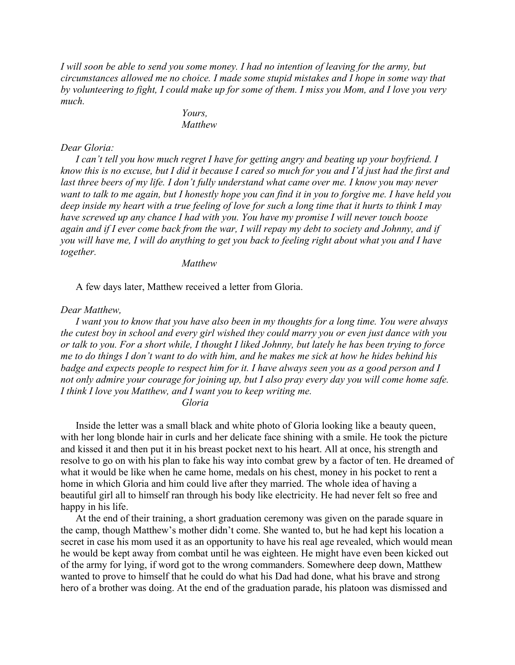*I will soon be able to send you some money. I had no intention of leaving for the army, but circumstances allowed me no choice. I made some stupid mistakes and I hope in some way that by volunteering to fight, I could make up for some of them. I miss you Mom, and I love you very much.*

> *Yours, Matthew*

#### *Dear Gloria:*

*I can't tell you how much regret I have for getting angry and beating up your boyfriend. I know this is no excuse, but I did it because I cared so much for you and I'd just had the first and last three beers of my life. I don't fully understand what came over me. I know you may never want to talk to me again, but I honestly hope you can find it in you to forgive me. I have held you deep inside my heart with a true feeling of love for such a long time that it hurts to think I may have screwed up any chance I had with you. You have my promise I will never touch booze again and if I ever come back from the war, I will repay my debt to society and Johnny, and if you will have me, I will do anything to get you back to feeling right about what you and I have together.*

*Matthew*

A few days later, Matthew received a letter from Gloria.

### *Dear Matthew,*

*I want you to know that you have also been in my thoughts for a long time. You were always the cutest boy in school and every girl wished they could marry you or even just dance with you or talk to you. For a short while, I thought I liked Johnny, but lately he has been trying to force me to do things I don't want to do with him, and he makes me sick at how he hides behind his badge and expects people to respect him for it. I have always seen you as a good person and I not only admire your courage for joining up, but I also pray every day you will come home safe. I think I love you Matthew, and I want you to keep writing me.*

*Gloria*

Inside the letter was a small black and white photo of Gloria looking like a beauty queen, with her long blonde hair in curls and her delicate face shining with a smile. He took the picture and kissed it and then put it in his breast pocket next to his heart. All at once, his strength and resolve to go on with his plan to fake his way into combat grew by a factor of ten. He dreamed of what it would be like when he came home, medals on his chest, money in his pocket to rent a home in which Gloria and him could live after they married. The whole idea of having a beautiful girl all to himself ran through his body like electricity. He had never felt so free and happy in his life.

At the end of their training, a short graduation ceremony was given on the parade square in the camp, though Matthew's mother didn't come. She wanted to, but he had kept his location a secret in case his mom used it as an opportunity to have his real age revealed, which would mean he would be kept away from combat until he was eighteen. He might have even been kicked out of the army for lying, if word got to the wrong commanders. Somewhere deep down, Matthew wanted to prove to himself that he could do what his Dad had done, what his brave and strong hero of a brother was doing. At the end of the graduation parade, his platoon was dismissed and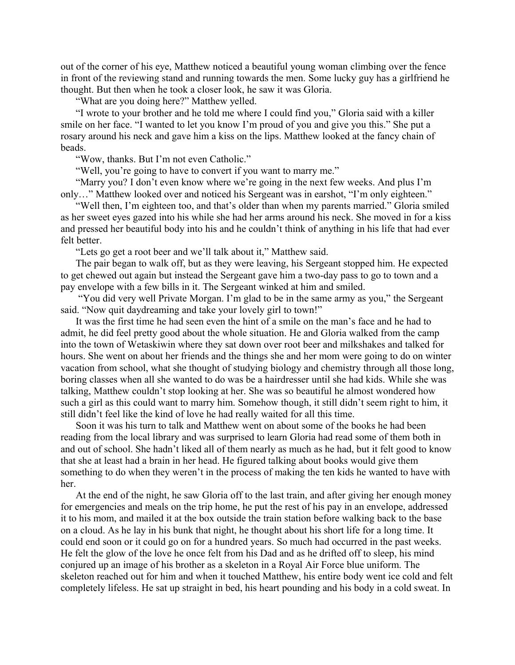out of the corner of his eye, Matthew noticed a beautiful young woman climbing over the fence in front of the reviewing stand and running towards the men. Some lucky guy has a girlfriend he thought. But then when he took a closer look, he saw it was Gloria.

"What are you doing here?" Matthew yelled.

"I wrote to your brother and he told me where I could find you," Gloria said with a killer smile on her face. "I wanted to let you know I'm proud of you and give you this." She put a rosary around his neck and gave him a kiss on the lips. Matthew looked at the fancy chain of beads.

"Wow, thanks. But I'm not even Catholic."

"Well, you're going to have to convert if you want to marry me."

"Marry you? I don't even know where we're going in the next few weeks. And plus I'm only…" Matthew looked over and noticed his Sergeant was in earshot, "I'm only eighteen."

"Well then, I'm eighteen too, and that's older than when my parents married." Gloria smiled as her sweet eyes gazed into his while she had her arms around his neck. She moved in for a kiss and pressed her beautiful body into his and he couldn't think of anything in his life that had ever felt better.

"Lets go get a root beer and we'll talk about it," Matthew said.

The pair began to walk off, but as they were leaving, his Sergeant stopped him. He expected to get chewed out again but instead the Sergeant gave him a two-day pass to go to town and a pay envelope with a few bills in it. The Sergeant winked at him and smiled.

 "You did very well Private Morgan. I'm glad to be in the same army as you," the Sergeant said. "Now quit daydreaming and take your lovely girl to town!"

It was the first time he had seen even the hint of a smile on the man's face and he had to admit, he did feel pretty good about the whole situation. He and Gloria walked from the camp into the town of Wetaskiwin where they sat down over root beer and milkshakes and talked for hours. She went on about her friends and the things she and her mom were going to do on winter vacation from school, what she thought of studying biology and chemistry through all those long, boring classes when all she wanted to do was be a hairdresser until she had kids. While she was talking, Matthew couldn't stop looking at her. She was so beautiful he almost wondered how such a girl as this could want to marry him. Somehow though, it still didn't seem right to him, it still didn't feel like the kind of love he had really waited for all this time.

Soon it was his turn to talk and Matthew went on about some of the books he had been reading from the local library and was surprised to learn Gloria had read some of them both in and out of school. She hadn't liked all of them nearly as much as he had, but it felt good to know that she at least had a brain in her head. He figured talking about books would give them something to do when they weren't in the process of making the ten kids he wanted to have with her.

At the end of the night, he saw Gloria off to the last train, and after giving her enough money for emergencies and meals on the trip home, he put the rest of his pay in an envelope, addressed it to his mom, and mailed it at the box outside the train station before walking back to the base on a cloud. As he lay in his bunk that night, he thought about his short life for a long time. It could end soon or it could go on for a hundred years. So much had occurred in the past weeks. He felt the glow of the love he once felt from his Dad and as he drifted off to sleep, his mind conjured up an image of his brother as a skeleton in a Royal Air Force blue uniform. The skeleton reached out for him and when it touched Matthew, his entire body went ice cold and felt completely lifeless. He sat up straight in bed, his heart pounding and his body in a cold sweat. In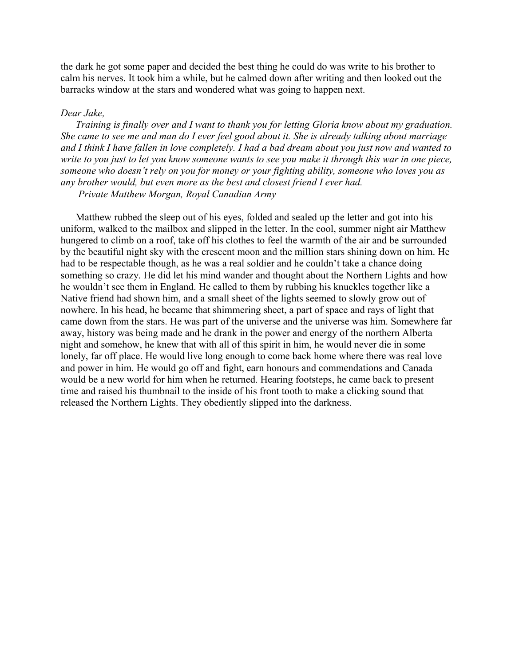the dark he got some paper and decided the best thing he could do was write to his brother to calm his nerves. It took him a while, but he calmed down after writing and then looked out the barracks window at the stars and wondered what was going to happen next.

#### *Dear Jake,*

*Training is finally over and I want to thank you for letting Gloria know about my graduation. She came to see me and man do I ever feel good about it. She is already talking about marriage and I think I have fallen in love completely. I had a bad dream about you just now and wanted to write to you just to let you know someone wants to see you make it through this war in one piece, someone who doesn't rely on you for money or your fighting ability, someone who loves you as any brother would, but even more as the best and closest friend I ever had.*

 *Private Matthew Morgan, Royal Canadian Army*

Matthew rubbed the sleep out of his eyes, folded and sealed up the letter and got into his uniform, walked to the mailbox and slipped in the letter. In the cool, summer night air Matthew hungered to climb on a roof, take off his clothes to feel the warmth of the air and be surrounded by the beautiful night sky with the crescent moon and the million stars shining down on him. He had to be respectable though, as he was a real soldier and he couldn't take a chance doing something so crazy. He did let his mind wander and thought about the Northern Lights and how he wouldn't see them in England. He called to them by rubbing his knuckles together like a Native friend had shown him, and a small sheet of the lights seemed to slowly grow out of nowhere. In his head, he became that shimmering sheet, a part of space and rays of light that came down from the stars. He was part of the universe and the universe was him. Somewhere far away, history was being made and he drank in the power and energy of the northern Alberta night and somehow, he knew that with all of this spirit in him, he would never die in some lonely, far off place. He would live long enough to come back home where there was real love and power in him. He would go off and fight, earn honours and commendations and Canada would be a new world for him when he returned. Hearing footsteps, he came back to present time and raised his thumbnail to the inside of his front tooth to make a clicking sound that released the Northern Lights. They obediently slipped into the darkness.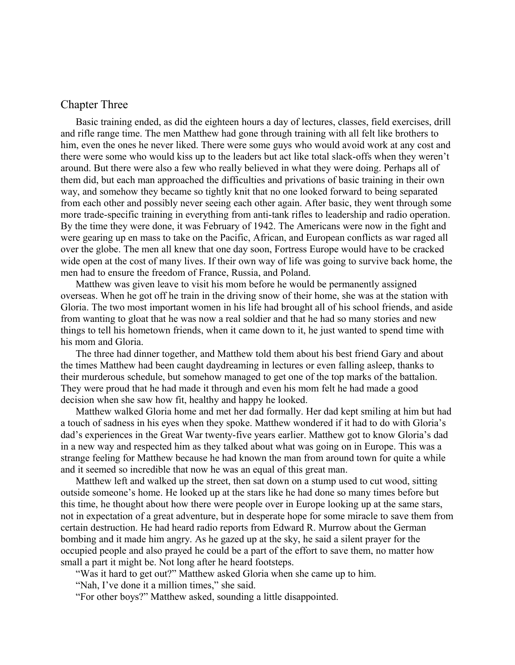### <span id="page-20-0"></span>Chapter Three

Basic training ended, as did the eighteen hours a day of lectures, classes, field exercises, drill and rifle range time. The men Matthew had gone through training with all felt like brothers to him, even the ones he never liked. There were some guys who would avoid work at any cost and there were some who would kiss up to the leaders but act like total slack-offs when they weren't around. But there were also a few who really believed in what they were doing. Perhaps all of them did, but each man approached the difficulties and privations of basic training in their own way, and somehow they became so tightly knit that no one looked forward to being separated from each other and possibly never seeing each other again. After basic, they went through some more trade-specific training in everything from anti-tank rifles to leadership and radio operation. By the time they were done, it was February of 1942. The Americans were now in the fight and were gearing up en mass to take on the Pacific, African, and European conflicts as war raged all over the globe. The men all knew that one day soon, Fortress Europe would have to be cracked wide open at the cost of many lives. If their own way of life was going to survive back home, the men had to ensure the freedom of France, Russia, and Poland.

Matthew was given leave to visit his mom before he would be permanently assigned overseas. When he got off he train in the driving snow of their home, she was at the station with Gloria. The two most important women in his life had brought all of his school friends, and aside from wanting to gloat that he was now a real soldier and that he had so many stories and new things to tell his hometown friends, when it came down to it, he just wanted to spend time with his mom and Gloria.

The three had dinner together, and Matthew told them about his best friend Gary and about the times Matthew had been caught daydreaming in lectures or even falling asleep, thanks to their murderous schedule, but somehow managed to get one of the top marks of the battalion. They were proud that he had made it through and even his mom felt he had made a good decision when she saw how fit, healthy and happy he looked.

Matthew walked Gloria home and met her dad formally. Her dad kept smiling at him but had a touch of sadness in his eyes when they spoke. Matthew wondered if it had to do with Gloria's dad's experiences in the Great War twenty-five years earlier. Matthew got to know Gloria's dad in a new way and respected him as they talked about what was going on in Europe. This was a strange feeling for Matthew because he had known the man from around town for quite a while and it seemed so incredible that now he was an equal of this great man.

Matthew left and walked up the street, then sat down on a stump used to cut wood, sitting outside someone's home. He looked up at the stars like he had done so many times before but this time, he thought about how there were people over in Europe looking up at the same stars, not in expectation of a great adventure, but in desperate hope for some miracle to save them from certain destruction. He had heard radio reports from Edward R. Murrow about the German bombing and it made him angry. As he gazed up at the sky, he said a silent prayer for the occupied people and also prayed he could be a part of the effort to save them, no matter how small a part it might be. Not long after he heard footsteps.

"Was it hard to get out?" Matthew asked Gloria when she came up to him.

"Nah, I've done it a million times," she said.

"For other boys?" Matthew asked, sounding a little disappointed.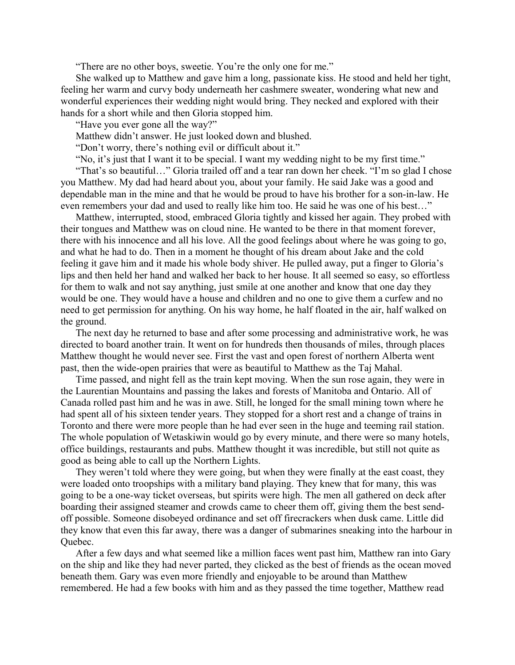"There are no other boys, sweetie. You're the only one for me."

She walked up to Matthew and gave him a long, passionate kiss. He stood and held her tight, feeling her warm and curvy body underneath her cashmere sweater, wondering what new and wonderful experiences their wedding night would bring. They necked and explored with their hands for a short while and then Gloria stopped him.

"Have you ever gone all the way?"

Matthew didn't answer. He just looked down and blushed.

"Don't worry, there's nothing evil or difficult about it."

"No, it's just that I want it to be special. I want my wedding night to be my first time."

"That's so beautiful…" Gloria trailed off and a tear ran down her cheek. "I'm so glad I chose you Matthew. My dad had heard about you, about your family. He said Jake was a good and dependable man in the mine and that he would be proud to have his brother for a son-in-law. He even remembers your dad and used to really like him too. He said he was one of his best…"

Matthew, interrupted, stood, embraced Gloria tightly and kissed her again. They probed with their tongues and Matthew was on cloud nine. He wanted to be there in that moment forever, there with his innocence and all his love. All the good feelings about where he was going to go, and what he had to do. Then in a moment he thought of his dream about Jake and the cold feeling it gave him and it made his whole body shiver. He pulled away, put a finger to Gloria's lips and then held her hand and walked her back to her house. It all seemed so easy, so effortless for them to walk and not say anything, just smile at one another and know that one day they would be one. They would have a house and children and no one to give them a curfew and no need to get permission for anything. On his way home, he half floated in the air, half walked on the ground.

The next day he returned to base and after some processing and administrative work, he was directed to board another train. It went on for hundreds then thousands of miles, through places Matthew thought he would never see. First the vast and open forest of northern Alberta went past, then the wide-open prairies that were as beautiful to Matthew as the Taj Mahal.

Time passed, and night fell as the train kept moving. When the sun rose again, they were in the Laurentian Mountains and passing the lakes and forests of Manitoba and Ontario. All of Canada rolled past him and he was in awe. Still, he longed for the small mining town where he had spent all of his sixteen tender years. They stopped for a short rest and a change of trains in Toronto and there were more people than he had ever seen in the huge and teeming rail station. The whole population of Wetaskiwin would go by every minute, and there were so many hotels, office buildings, restaurants and pubs. Matthew thought it was incredible, but still not quite as good as being able to call up the Northern Lights.

They weren't told where they were going, but when they were finally at the east coast, they were loaded onto troopships with a military band playing. They knew that for many, this was going to be a one-way ticket overseas, but spirits were high. The men all gathered on deck after boarding their assigned steamer and crowds came to cheer them off, giving them the best sendoff possible. Someone disobeyed ordinance and set off firecrackers when dusk came. Little did they know that even this far away, there was a danger of submarines sneaking into the harbour in Quebec.

After a few days and what seemed like a million faces went past him, Matthew ran into Gary on the ship and like they had never parted, they clicked as the best of friends as the ocean moved beneath them. Gary was even more friendly and enjoyable to be around than Matthew remembered. He had a few books with him and as they passed the time together, Matthew read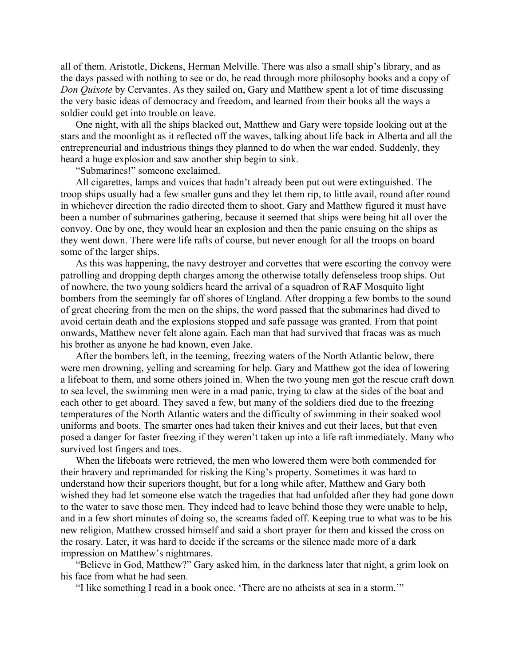all of them. Aristotle, Dickens, Herman Melville. There was also a small ship's library, and as the days passed with nothing to see or do, he read through more philosophy books and a copy of *Don Quixote* by Cervantes. As they sailed on, Gary and Matthew spent a lot of time discussing the very basic ideas of democracy and freedom, and learned from their books all the ways a soldier could get into trouble on leave.

One night, with all the ships blacked out, Matthew and Gary were topside looking out at the stars and the moonlight as it reflected off the waves, talking about life back in Alberta and all the entrepreneurial and industrious things they planned to do when the war ended. Suddenly, they heard a huge explosion and saw another ship begin to sink.

"Submarines!" someone exclaimed.

All cigarettes, lamps and voices that hadn't already been put out were extinguished. The troop ships usually had a few smaller guns and they let them rip, to little avail, round after round in whichever direction the radio directed them to shoot. Gary and Matthew figured it must have been a number of submarines gathering, because it seemed that ships were being hit all over the convoy. One by one, they would hear an explosion and then the panic ensuing on the ships as they went down. There were life rafts of course, but never enough for all the troops on board some of the larger ships.

As this was happening, the navy destroyer and corvettes that were escorting the convoy were patrolling and dropping depth charges among the otherwise totally defenseless troop ships. Out of nowhere, the two young soldiers heard the arrival of a squadron of RAF Mosquito light bombers from the seemingly far off shores of England. After dropping a few bombs to the sound of great cheering from the men on the ships, the word passed that the submarines had dived to avoid certain death and the explosions stopped and safe passage was granted. From that point onwards, Matthew never felt alone again. Each man that had survived that fracas was as much his brother as anyone he had known, even Jake.

After the bombers left, in the teeming, freezing waters of the North Atlantic below, there were men drowning, yelling and screaming for help. Gary and Matthew got the idea of lowering a lifeboat to them, and some others joined in. When the two young men got the rescue craft down to sea level, the swimming men were in a mad panic, trying to claw at the sides of the boat and each other to get aboard. They saved a few, but many of the soldiers died due to the freezing temperatures of the North Atlantic waters and the difficulty of swimming in their soaked wool uniforms and boots. The smarter ones had taken their knives and cut their laces, but that even posed a danger for faster freezing if they weren't taken up into a life raft immediately. Many who survived lost fingers and toes.

When the lifeboats were retrieved, the men who lowered them were both commended for their bravery and reprimanded for risking the King's property. Sometimes it was hard to understand how their superiors thought, but for a long while after, Matthew and Gary both wished they had let someone else watch the tragedies that had unfolded after they had gone down to the water to save those men. They indeed had to leave behind those they were unable to help, and in a few short minutes of doing so, the screams faded off. Keeping true to what was to be his new religion, Matthew crossed himself and said a short prayer for them and kissed the cross on the rosary. Later, it was hard to decide if the screams or the silence made more of a dark impression on Matthew's nightmares.

"Believe in God, Matthew?" Gary asked him, in the darkness later that night, a grim look on his face from what he had seen.

"I like something I read in a book once. 'There are no atheists at sea in a storm.'"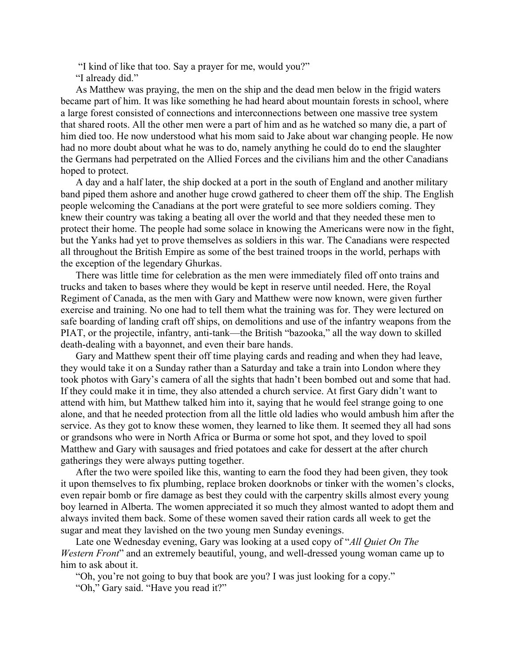"I kind of like that too. Say a prayer for me, would you?"

"I already did."

As Matthew was praying, the men on the ship and the dead men below in the frigid waters became part of him. It was like something he had heard about mountain forests in school, where a large forest consisted of connections and interconnections between one massive tree system that shared roots. All the other men were a part of him and as he watched so many die, a part of him died too. He now understood what his mom said to Jake about war changing people. He now had no more doubt about what he was to do, namely anything he could do to end the slaughter the Germans had perpetrated on the Allied Forces and the civilians him and the other Canadians hoped to protect.

A day and a half later, the ship docked at a port in the south of England and another military band piped them ashore and another huge crowd gathered to cheer them off the ship. The English people welcoming the Canadians at the port were grateful to see more soldiers coming. They knew their country was taking a beating all over the world and that they needed these men to protect their home. The people had some solace in knowing the Americans were now in the fight, but the Yanks had yet to prove themselves as soldiers in this war. The Canadians were respected all throughout the British Empire as some of the best trained troops in the world, perhaps with the exception of the legendary Ghurkas.

There was little time for celebration as the men were immediately filed off onto trains and trucks and taken to bases where they would be kept in reserve until needed. Here, the Royal Regiment of Canada, as the men with Gary and Matthew were now known, were given further exercise and training. No one had to tell them what the training was for. They were lectured on safe boarding of landing craft off ships, on demolitions and use of the infantry weapons from the PIAT, or the projectile, infantry, anti-tank—the British "bazooka," all the way down to skilled death-dealing with a bayonnet, and even their bare hands.

Gary and Matthew spent their off time playing cards and reading and when they had leave, they would take it on a Sunday rather than a Saturday and take a train into London where they took photos with Gary's camera of all the sights that hadn't been bombed out and some that had. If they could make it in time, they also attended a church service. At first Gary didn't want to attend with him, but Matthew talked him into it, saying that he would feel strange going to one alone, and that he needed protection from all the little old ladies who would ambush him after the service. As they got to know these women, they learned to like them. It seemed they all had sons or grandsons who were in North Africa or Burma or some hot spot, and they loved to spoil Matthew and Gary with sausages and fried potatoes and cake for dessert at the after church gatherings they were always putting together.

After the two were spoiled like this, wanting to earn the food they had been given, they took it upon themselves to fix plumbing, replace broken doorknobs or tinker with the women's clocks, even repair bomb or fire damage as best they could with the carpentry skills almost every young boy learned in Alberta. The women appreciated it so much they almost wanted to adopt them and always invited them back. Some of these women saved their ration cards all week to get the sugar and meat they lavished on the two young men Sunday evenings.

Late one Wednesday evening, Gary was looking at a used copy of "*All Quiet On The Western Front*" and an extremely beautiful, young, and well-dressed young woman came up to him to ask about it.

"Oh, you're not going to buy that book are you? I was just looking for a copy."

"Oh," Gary said. "Have you read it?"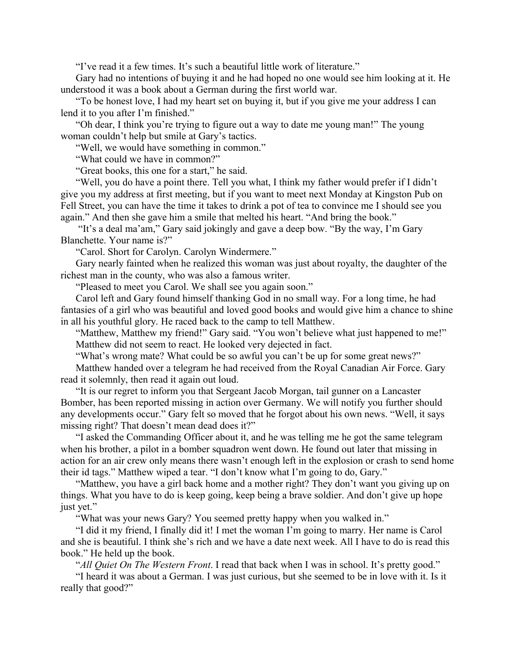"I've read it a few times. It's such a beautiful little work of literature."

Gary had no intentions of buying it and he had hoped no one would see him looking at it. He understood it was a book about a German during the first world war.

"To be honest love, I had my heart set on buying it, but if you give me your address I can lend it to you after I'm finished."

"Oh dear, I think you're trying to figure out a way to date me young man!" The young woman couldn't help but smile at Gary's tactics.

"Well, we would have something in common."

"What could we have in common?"

"Great books, this one for a start," he said.

"Well, you do have a point there. Tell you what, I think my father would prefer if I didn't give you my address at first meeting, but if you want to meet next Monday at Kingston Pub on Fell Street, you can have the time it takes to drink a pot of tea to convince me I should see you again." And then she gave him a smile that melted his heart. "And bring the book."

 "It's a deal ma'am," Gary said jokingly and gave a deep bow. "By the way, I'm Gary Blanchette. Your name is?"

"Carol. Short for Carolyn. Carolyn Windermere."

Gary nearly fainted when he realized this woman was just about royalty, the daughter of the richest man in the county, who was also a famous writer.

"Pleased to meet you Carol. We shall see you again soon."

Carol left and Gary found himself thanking God in no small way. For a long time, he had fantasies of a girl who was beautiful and loved good books and would give him a chance to shine in all his youthful glory. He raced back to the camp to tell Matthew.

"Matthew, Matthew my friend!" Gary said. "You won't believe what just happened to me!" Matthew did not seem to react. He looked very dejected in fact.

"What's wrong mate? What could be so awful you can't be up for some great news?" Matthew handed over a telegram he had received from the Royal Canadian Air Force. Gary read it solemnly, then read it again out loud.

"It is our regret to inform you that Sergeant Jacob Morgan, tail gunner on a Lancaster Bomber, has been reported missing in action over Germany. We will notify you further should any developments occur." Gary felt so moved that he forgot about his own news. "Well, it says missing right? That doesn't mean dead does it?"

"I asked the Commanding Officer about it, and he was telling me he got the same telegram when his brother, a pilot in a bomber squadron went down. He found out later that missing in action for an air crew only means there wasn't enough left in the explosion or crash to send home their id tags." Matthew wiped a tear. "I don't know what I'm going to do, Gary."

"Matthew, you have a girl back home and a mother right? They don't want you giving up on things. What you have to do is keep going, keep being a brave soldier. And don't give up hope just yet."

"What was your news Gary? You seemed pretty happy when you walked in."

"I did it my friend, I finally did it! I met the woman I'm going to marry. Her name is Carol and she is beautiful. I think she's rich and we have a date next week. All I have to do is read this book." He held up the book.

"*All Quiet On The Western Front*. I read that back when I was in school. It's pretty good."

"I heard it was about a German. I was just curious, but she seemed to be in love with it. Is it really that good?"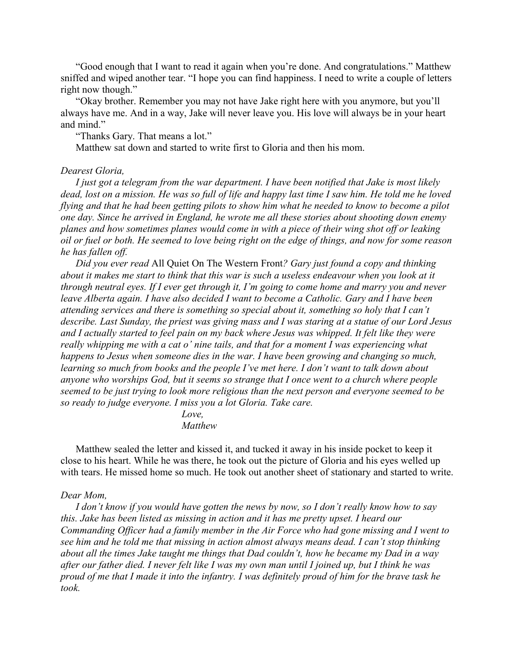"Good enough that I want to read it again when you're done. And congratulations." Matthew sniffed and wiped another tear. "I hope you can find happiness. I need to write a couple of letters right now though."

"Okay brother. Remember you may not have Jake right here with you anymore, but you'll always have me. And in a way, Jake will never leave you. His love will always be in your heart and mind."

"Thanks Gary. That means a lot."

Matthew sat down and started to write first to Gloria and then his mom.

#### *Dearest Gloria,*

*I just got a telegram from the war department. I have been notified that Jake is most likely dead, lost on a mission. He was so full of life and happy last time I saw him. He told me he loved flying and that he had been getting pilots to show him what he needed to know to become a pilot one day. Since he arrived in England, he wrote me all these stories about shooting down enemy planes and how sometimes planes would come in with a piece of their wing shot off or leaking oil or fuel or both. He seemed to love being right on the edge of things, and now for some reason he has fallen off.*

*Did you ever read* All Quiet On The Western Front*? Gary just found a copy and thinking about it makes me start to think that this war is such a useless endeavour when you look at it through neutral eyes. If I ever get through it, I'm going to come home and marry you and never leave Alberta again. I have also decided I want to become a Catholic. Gary and I have been attending services and there is something so special about it, something so holy that I can't describe. Last Sunday, the priest was giving mass and I was staring at a statue of our Lord Jesus and I actually started to feel pain on my back where Jesus was whipped. It felt like they were really whipping me with a cat o' nine tails, and that for a moment I was experiencing what happens to Jesus when someone dies in the war. I have been growing and changing so much, learning so much from books and the people I've met here. I don't want to talk down about anyone who worships God, but it seems so strange that I once went to a church where people seemed to be just trying to look more religious than the next person and everyone seemed to be so ready to judge everyone. I miss you a lot Gloria. Take care.*

> *Love, Matthew*

Matthew sealed the letter and kissed it, and tucked it away in his inside pocket to keep it close to his heart. While he was there, he took out the picture of Gloria and his eyes welled up with tears. He missed home so much. He took out another sheet of stationary and started to write.

#### *Dear Mom,*

*I don't know if you would have gotten the news by now, so I don't really know how to say this. Jake has been listed as missing in action and it has me pretty upset. I heard our Commanding Officer had a family member in the Air Force who had gone missing and I went to see him and he told me that missing in action almost always means dead. I can't stop thinking about all the times Jake taught me things that Dad couldn't, how he became my Dad in a way after our father died. I never felt like I was my own man until I joined up, but I think he was proud of me that I made it into the infantry. I was definitely proud of him for the brave task he took.*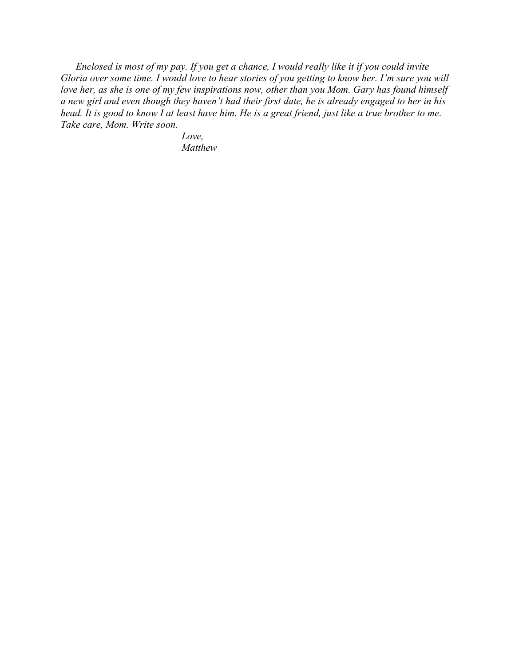*Enclosed is most of my pay. If you get a chance, I would really like it if you could invite Gloria over some time. I would love to hear stories of you getting to know her. I'm sure you will love her, as she is one of my few inspirations now, other than you Mom. Gary has found himself a new girl and even though they haven't had their first date, he is already engaged to her in his head. It is good to know I at least have him. He is a great friend, just like a true brother to me. Take care, Mom. Write soon.*

> *Love, Matthew*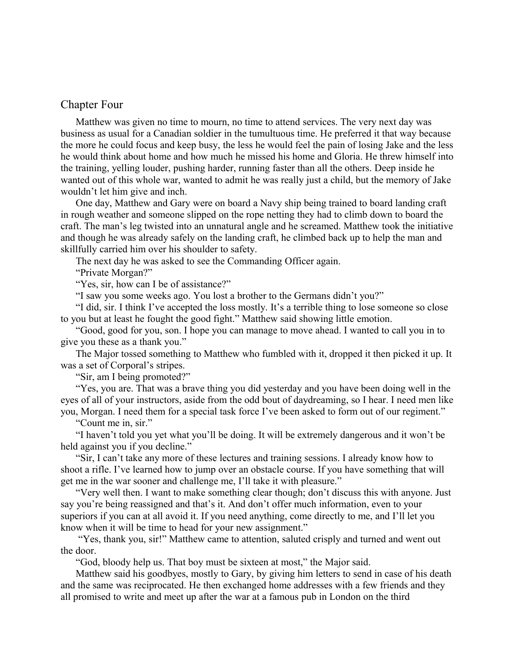### <span id="page-27-0"></span>Chapter Four

Matthew was given no time to mourn, no time to attend services. The very next day was business as usual for a Canadian soldier in the tumultuous time. He preferred it that way because the more he could focus and keep busy, the less he would feel the pain of losing Jake and the less he would think about home and how much he missed his home and Gloria. He threw himself into the training, yelling louder, pushing harder, running faster than all the others. Deep inside he wanted out of this whole war, wanted to admit he was really just a child, but the memory of Jake wouldn't let him give and inch.

One day, Matthew and Gary were on board a Navy ship being trained to board landing craft in rough weather and someone slipped on the rope netting they had to climb down to board the craft. The man's leg twisted into an unnatural angle and he screamed. Matthew took the initiative and though he was already safely on the landing craft, he climbed back up to help the man and skillfully carried him over his shoulder to safety.

The next day he was asked to see the Commanding Officer again.

"Private Morgan?"

"Yes, sir, how can I be of assistance?"

"I saw you some weeks ago. You lost a brother to the Germans didn't you?"

"I did, sir. I think I've accepted the loss mostly. It's a terrible thing to lose someone so close to you but at least he fought the good fight." Matthew said showing little emotion.

"Good, good for you, son. I hope you can manage to move ahead. I wanted to call you in to give you these as a thank you."

The Major tossed something to Matthew who fumbled with it, dropped it then picked it up. It was a set of Corporal's stripes.

"Sir, am I being promoted?"

"Yes, you are. That was a brave thing you did yesterday and you have been doing well in the eyes of all of your instructors, aside from the odd bout of daydreaming, so I hear. I need men like you, Morgan. I need them for a special task force I've been asked to form out of our regiment."

"Count me in, sir."

"I haven't told you yet what you'll be doing. It will be extremely dangerous and it won't be held against you if you decline."

"Sir, I can't take any more of these lectures and training sessions. I already know how to shoot a rifle. I've learned how to jump over an obstacle course. If you have something that will get me in the war sooner and challenge me, I'll take it with pleasure."

"Very well then. I want to make something clear though; don't discuss this with anyone. Just say you're being reassigned and that's it. And don't offer much information, even to your superiors if you can at all avoid it. If you need anything, come directly to me, and I'll let you know when it will be time to head for your new assignment."

 "Yes, thank you, sir!" Matthew came to attention, saluted crisply and turned and went out the door.

"God, bloody help us. That boy must be sixteen at most," the Major said.

Matthew said his goodbyes, mostly to Gary, by giving him letters to send in case of his death and the same was reciprocated. He then exchanged home addresses with a few friends and they all promised to write and meet up after the war at a famous pub in London on the third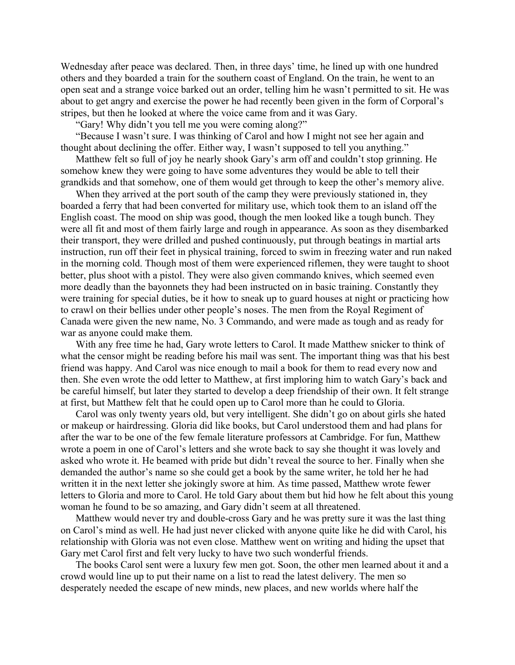Wednesday after peace was declared. Then, in three days' time, he lined up with one hundred others and they boarded a train for the southern coast of England. On the train, he went to an open seat and a strange voice barked out an order, telling him he wasn't permitted to sit. He was about to get angry and exercise the power he had recently been given in the form of Corporal's stripes, but then he looked at where the voice came from and it was Gary.

"Gary! Why didn't you tell me you were coming along?"

"Because I wasn't sure. I was thinking of Carol and how I might not see her again and thought about declining the offer. Either way, I wasn't supposed to tell you anything."

Matthew felt so full of joy he nearly shook Gary's arm off and couldn't stop grinning. He somehow knew they were going to have some adventures they would be able to tell their grandkids and that somehow, one of them would get through to keep the other's memory alive.

When they arrived at the port south of the camp they were previously stationed in, they boarded a ferry that had been converted for military use, which took them to an island off the English coast. The mood on ship was good, though the men looked like a tough bunch. They were all fit and most of them fairly large and rough in appearance. As soon as they disembarked their transport, they were drilled and pushed continuously, put through beatings in martial arts instruction, run off their feet in physical training, forced to swim in freezing water and run naked in the morning cold. Though most of them were experienced riflemen, they were taught to shoot better, plus shoot with a pistol. They were also given commando knives, which seemed even more deadly than the bayonnets they had been instructed on in basic training. Constantly they were training for special duties, be it how to sneak up to guard houses at night or practicing how to crawl on their bellies under other people's noses. The men from the Royal Regiment of Canada were given the new name, No. 3 Commando, and were made as tough and as ready for war as anyone could make them.

With any free time he had, Gary wrote letters to Carol. It made Matthew snicker to think of what the censor might be reading before his mail was sent. The important thing was that his best friend was happy. And Carol was nice enough to mail a book for them to read every now and then. She even wrote the odd letter to Matthew, at first imploring him to watch Gary's back and be careful himself, but later they started to develop a deep friendship of their own. It felt strange at first, but Matthew felt that he could open up to Carol more than he could to Gloria.

Carol was only twenty years old, but very intelligent. She didn't go on about girls she hated or makeup or hairdressing. Gloria did like books, but Carol understood them and had plans for after the war to be one of the few female literature professors at Cambridge. For fun, Matthew wrote a poem in one of Carol's letters and she wrote back to say she thought it was lovely and asked who wrote it. He beamed with pride but didn't reveal the source to her. Finally when she demanded the author's name so she could get a book by the same writer, he told her he had written it in the next letter she jokingly swore at him. As time passed, Matthew wrote fewer letters to Gloria and more to Carol. He told Gary about them but hid how he felt about this young woman he found to be so amazing, and Gary didn't seem at all threatened.

Matthew would never try and double-cross Gary and he was pretty sure it was the last thing on Carol's mind as well. He had just never clicked with anyone quite like he did with Carol, his relationship with Gloria was not even close. Matthew went on writing and hiding the upset that Gary met Carol first and felt very lucky to have two such wonderful friends.

The books Carol sent were a luxury few men got. Soon, the other men learned about it and a crowd would line up to put their name on a list to read the latest delivery. The men so desperately needed the escape of new minds, new places, and new worlds where half the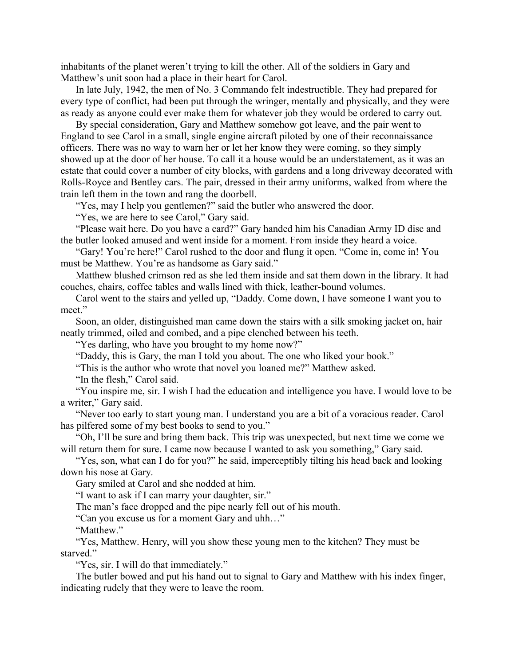inhabitants of the planet weren't trying to kill the other. All of the soldiers in Gary and Matthew's unit soon had a place in their heart for Carol.

In late July, 1942, the men of No. 3 Commando felt indestructible. They had prepared for every type of conflict, had been put through the wringer, mentally and physically, and they were as ready as anyone could ever make them for whatever job they would be ordered to carry out.

By special consideration, Gary and Matthew somehow got leave, and the pair went to England to see Carol in a small, single engine aircraft piloted by one of their reconnaissance officers. There was no way to warn her or let her know they were coming, so they simply showed up at the door of her house. To call it a house would be an understatement, as it was an estate that could cover a number of city blocks, with gardens and a long driveway decorated with Rolls-Royce and Bentley cars. The pair, dressed in their army uniforms, walked from where the train left them in the town and rang the doorbell.

"Yes, may I help you gentlemen?" said the butler who answered the door.

"Yes, we are here to see Carol," Gary said.

"Please wait here. Do you have a card?" Gary handed him his Canadian Army ID disc and the butler looked amused and went inside for a moment. From inside they heard a voice.

"Gary! You're here!" Carol rushed to the door and flung it open. "Come in, come in! You must be Matthew. You're as handsome as Gary said."

Matthew blushed crimson red as she led them inside and sat them down in the library. It had couches, chairs, coffee tables and walls lined with thick, leather-bound volumes.

Carol went to the stairs and yelled up, "Daddy. Come down, I have someone I want you to meet."

Soon, an older, distinguished man came down the stairs with a silk smoking jacket on, hair neatly trimmed, oiled and combed, and a pipe clenched between his teeth.

"Yes darling, who have you brought to my home now?"

"Daddy, this is Gary, the man I told you about. The one who liked your book."

"This is the author who wrote that novel you loaned me?" Matthew asked.

"In the flesh," Carol said.

"You inspire me, sir. I wish I had the education and intelligence you have. I would love to be a writer," Gary said.

"Never too early to start young man. I understand you are a bit of a voracious reader. Carol has pilfered some of my best books to send to you."

"Oh, I'll be sure and bring them back. This trip was unexpected, but next time we come we will return them for sure. I came now because I wanted to ask you something," Gary said.

"Yes, son, what can I do for you?" he said, imperceptibly tilting his head back and looking down his nose at Gary.

Gary smiled at Carol and she nodded at him.

"I want to ask if I can marry your daughter, sir."

The man's face dropped and the pipe nearly fell out of his mouth.

"Can you excuse us for a moment Gary and uhh…"

"Matthew"

"Yes, Matthew. Henry, will you show these young men to the kitchen? They must be starved."

"Yes, sir. I will do that immediately."

The butler bowed and put his hand out to signal to Gary and Matthew with his index finger, indicating rudely that they were to leave the room.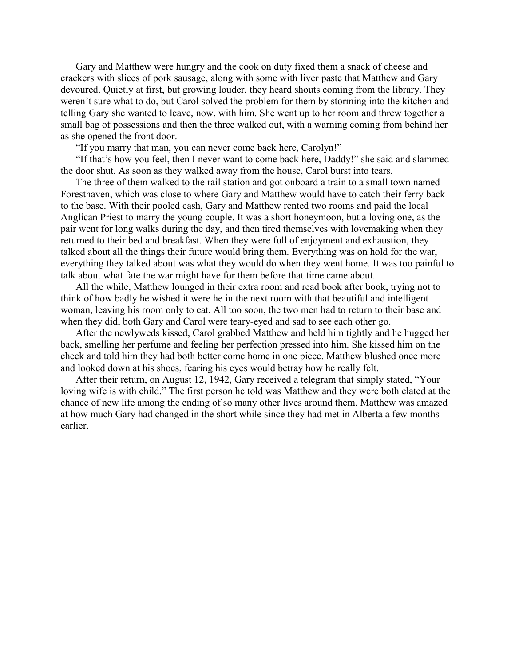Gary and Matthew were hungry and the cook on duty fixed them a snack of cheese and crackers with slices of pork sausage, along with some with liver paste that Matthew and Gary devoured. Quietly at first, but growing louder, they heard shouts coming from the library. They weren't sure what to do, but Carol solved the problem for them by storming into the kitchen and telling Gary she wanted to leave, now, with him. She went up to her room and threw together a small bag of possessions and then the three walked out, with a warning coming from behind her as she opened the front door.

"If you marry that man, you can never come back here, Carolyn!"

"If that's how you feel, then I never want to come back here, Daddy!" she said and slammed the door shut. As soon as they walked away from the house, Carol burst into tears.

The three of them walked to the rail station and got onboard a train to a small town named Foresthaven, which was close to where Gary and Matthew would have to catch their ferry back to the base. With their pooled cash, Gary and Matthew rented two rooms and paid the local Anglican Priest to marry the young couple. It was a short honeymoon, but a loving one, as the pair went for long walks during the day, and then tired themselves with lovemaking when they returned to their bed and breakfast. When they were full of enjoyment and exhaustion, they talked about all the things their future would bring them. Everything was on hold for the war, everything they talked about was what they would do when they went home. It was too painful to talk about what fate the war might have for them before that time came about.

All the while, Matthew lounged in their extra room and read book after book, trying not to think of how badly he wished it were he in the next room with that beautiful and intelligent woman, leaving his room only to eat. All too soon, the two men had to return to their base and when they did, both Gary and Carol were teary-eyed and sad to see each other go.

After the newlyweds kissed, Carol grabbed Matthew and held him tightly and he hugged her back, smelling her perfume and feeling her perfection pressed into him. She kissed him on the cheek and told him they had both better come home in one piece. Matthew blushed once more and looked down at his shoes, fearing his eyes would betray how he really felt.

After their return, on August 12, 1942, Gary received a telegram that simply stated, "Your loving wife is with child." The first person he told was Matthew and they were both elated at the chance of new life among the ending of so many other lives around them. Matthew was amazed at how much Gary had changed in the short while since they had met in Alberta a few months earlier.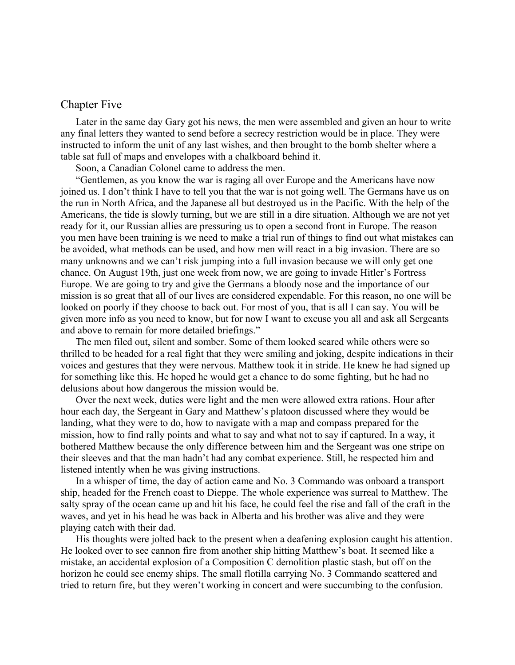### <span id="page-31-0"></span>Chapter Five

Later in the same day Gary got his news, the men were assembled and given an hour to write any final letters they wanted to send before a secrecy restriction would be in place. They were instructed to inform the unit of any last wishes, and then brought to the bomb shelter where a table sat full of maps and envelopes with a chalkboard behind it.

Soon, a Canadian Colonel came to address the men.

"Gentlemen, as you know the war is raging all over Europe and the Americans have now joined us. I don't think I have to tell you that the war is not going well. The Germans have us on the run in North Africa, and the Japanese all but destroyed us in the Pacific. With the help of the Americans, the tide is slowly turning, but we are still in a dire situation. Although we are not yet ready for it, our Russian allies are pressuring us to open a second front in Europe. The reason you men have been training is we need to make a trial run of things to find out what mistakes can be avoided, what methods can be used, and how men will react in a big invasion. There are so many unknowns and we can't risk jumping into a full invasion because we will only get one chance. On August 19th, just one week from now, we are going to invade Hitler's Fortress Europe. We are going to try and give the Germans a bloody nose and the importance of our mission is so great that all of our lives are considered expendable. For this reason, no one will be looked on poorly if they choose to back out. For most of you, that is all I can say. You will be given more info as you need to know, but for now I want to excuse you all and ask all Sergeants and above to remain for more detailed briefings."

The men filed out, silent and somber. Some of them looked scared while others were so thrilled to be headed for a real fight that they were smiling and joking, despite indications in their voices and gestures that they were nervous. Matthew took it in stride. He knew he had signed up for something like this. He hoped he would get a chance to do some fighting, but he had no delusions about how dangerous the mission would be.

Over the next week, duties were light and the men were allowed extra rations. Hour after hour each day, the Sergeant in Gary and Matthew's platoon discussed where they would be landing, what they were to do, how to navigate with a map and compass prepared for the mission, how to find rally points and what to say and what not to say if captured. In a way, it bothered Matthew because the only difference between him and the Sergeant was one stripe on their sleeves and that the man hadn't had any combat experience. Still, he respected him and listened intently when he was giving instructions.

In a whisper of time, the day of action came and No. 3 Commando was onboard a transport ship, headed for the French coast to Dieppe. The whole experience was surreal to Matthew. The salty spray of the ocean came up and hit his face, he could feel the rise and fall of the craft in the waves, and yet in his head he was back in Alberta and his brother was alive and they were playing catch with their dad.

His thoughts were jolted back to the present when a deafening explosion caught his attention. He looked over to see cannon fire from another ship hitting Matthew's boat. It seemed like a mistake, an accidental explosion of a Composition C demolition plastic stash, but off on the horizon he could see enemy ships. The small flotilla carrying No. 3 Commando scattered and tried to return fire, but they weren't working in concert and were succumbing to the confusion.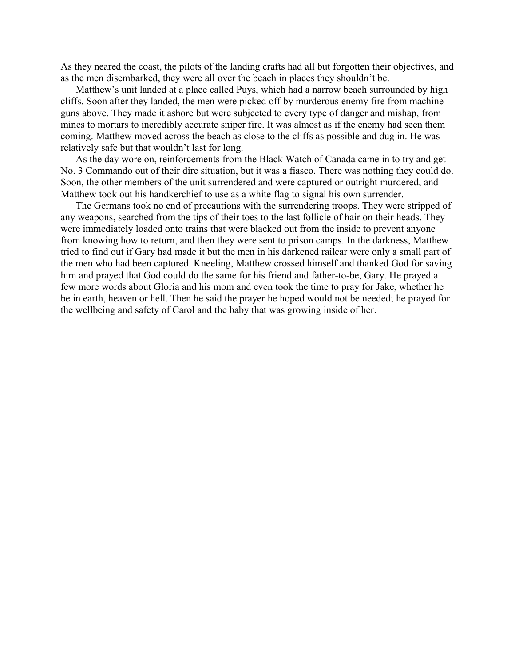As they neared the coast, the pilots of the landing crafts had all but forgotten their objectives, and as the men disembarked, they were all over the beach in places they shouldn't be.

Matthew's unit landed at a place called Puys, which had a narrow beach surrounded by high cliffs. Soon after they landed, the men were picked off by murderous enemy fire from machine guns above. They made it ashore but were subjected to every type of danger and mishap, from mines to mortars to incredibly accurate sniper fire. It was almost as if the enemy had seen them coming. Matthew moved across the beach as close to the cliffs as possible and dug in. He was relatively safe but that wouldn't last for long.

As the day wore on, reinforcements from the Black Watch of Canada came in to try and get No. 3 Commando out of their dire situation, but it was a fiasco. There was nothing they could do. Soon, the other members of the unit surrendered and were captured or outright murdered, and Matthew took out his handkerchief to use as a white flag to signal his own surrender.

The Germans took no end of precautions with the surrendering troops. They were stripped of any weapons, searched from the tips of their toes to the last follicle of hair on their heads. They were immediately loaded onto trains that were blacked out from the inside to prevent anyone from knowing how to return, and then they were sent to prison camps. In the darkness, Matthew tried to find out if Gary had made it but the men in his darkened railcar were only a small part of the men who had been captured. Kneeling, Matthew crossed himself and thanked God for saving him and prayed that God could do the same for his friend and father-to-be, Gary. He prayed a few more words about Gloria and his mom and even took the time to pray for Jake, whether he be in earth, heaven or hell. Then he said the prayer he hoped would not be needed; he prayed for the wellbeing and safety of Carol and the baby that was growing inside of her.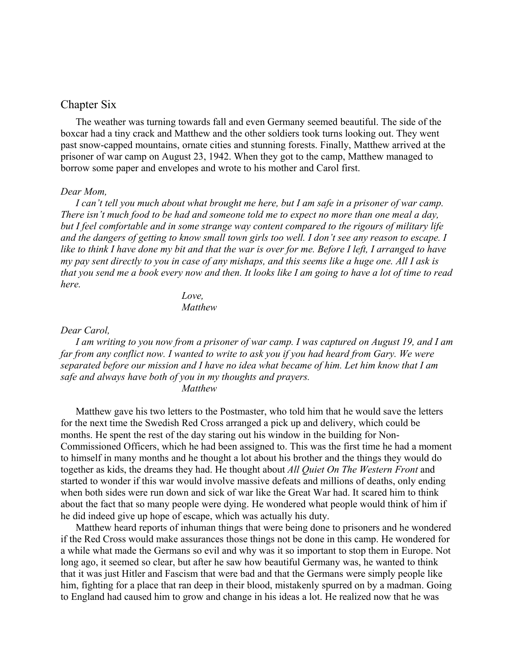### <span id="page-33-0"></span>Chapter Six

The weather was turning towards fall and even Germany seemed beautiful. The side of the boxcar had a tiny crack and Matthew and the other soldiers took turns looking out. They went past snow-capped mountains, ornate cities and stunning forests. Finally, Matthew arrived at the prisoner of war camp on August 23, 1942. When they got to the camp, Matthew managed to borrow some paper and envelopes and wrote to his mother and Carol first.

#### *Dear Mom,*

*I can't tell you much about what brought me here, but I am safe in a prisoner of war camp. There isn't much food to be had and someone told me to expect no more than one meal a day, but I feel comfortable and in some strange way content compared to the rigours of military life and the dangers of getting to know small town girls too well. I don't see any reason to escape. I like to think I have done my bit and that the war is over for me. Before I left, I arranged to have my pay sent directly to you in case of any mishaps, and this seems like a huge one. All I ask is that you send me a book every now and then. It looks like I am going to have a lot of time to read here.*

> *Love, Matthew*

#### *Dear Carol,*

*I am writing to you now from a prisoner of war camp. I was captured on August 19, and I am far from any conflict now. I wanted to write to ask you if you had heard from Gary. We were separated before our mission and I have no idea what became of him. Let him know that I am safe and always have both of you in my thoughts and prayers. Matthew*

Matthew gave his two letters to the Postmaster, who told him that he would save the letters for the next time the Swedish Red Cross arranged a pick up and delivery, which could be months. He spent the rest of the day staring out his window in the building for Non-Commissioned Officers, which he had been assigned to. This was the first time he had a moment to himself in many months and he thought a lot about his brother and the things they would do together as kids, the dreams they had. He thought about *All Quiet On The Western Front* and started to wonder if this war would involve massive defeats and millions of deaths, only ending when both sides were run down and sick of war like the Great War had. It scared him to think about the fact that so many people were dying. He wondered what people would think of him if he did indeed give up hope of escape, which was actually his duty.

Matthew heard reports of inhuman things that were being done to prisoners and he wondered if the Red Cross would make assurances those things not be done in this camp. He wondered for a while what made the Germans so evil and why was it so important to stop them in Europe. Not long ago, it seemed so clear, but after he saw how beautiful Germany was, he wanted to think that it was just Hitler and Fascism that were bad and that the Germans were simply people like him, fighting for a place that ran deep in their blood, mistakenly spurred on by a madman. Going to England had caused him to grow and change in his ideas a lot. He realized now that he was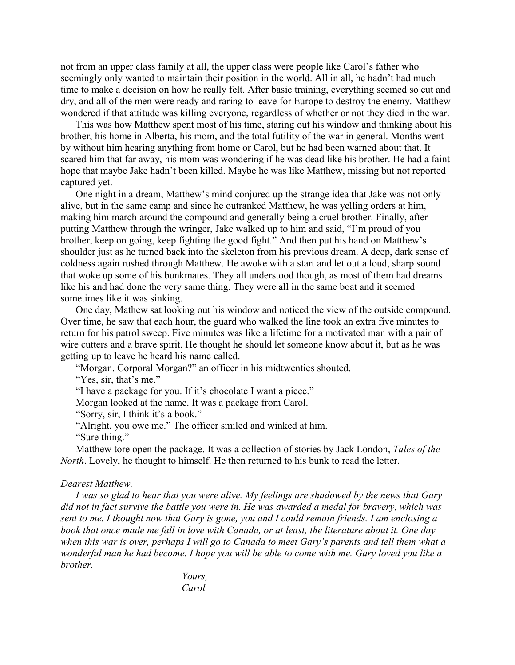not from an upper class family at all, the upper class were people like Carol's father who seemingly only wanted to maintain their position in the world. All in all, he hadn't had much time to make a decision on how he really felt. After basic training, everything seemed so cut and dry, and all of the men were ready and raring to leave for Europe to destroy the enemy. Matthew wondered if that attitude was killing everyone, regardless of whether or not they died in the war.

This was how Matthew spent most of his time, staring out his window and thinking about his brother, his home in Alberta, his mom, and the total futility of the war in general. Months went by without him hearing anything from home or Carol, but he had been warned about that. It scared him that far away, his mom was wondering if he was dead like his brother. He had a faint hope that maybe Jake hadn't been killed. Maybe he was like Matthew, missing but not reported captured yet.

One night in a dream, Matthew's mind conjured up the strange idea that Jake was not only alive, but in the same camp and since he outranked Matthew, he was yelling orders at him, making him march around the compound and generally being a cruel brother. Finally, after putting Matthew through the wringer, Jake walked up to him and said, "I'm proud of you brother, keep on going, keep fighting the good fight." And then put his hand on Matthew's shoulder just as he turned back into the skeleton from his previous dream. A deep, dark sense of coldness again rushed through Matthew. He awoke with a start and let out a loud, sharp sound that woke up some of his bunkmates. They all understood though, as most of them had dreams like his and had done the very same thing. They were all in the same boat and it seemed sometimes like it was sinking.

One day, Mathew sat looking out his window and noticed the view of the outside compound. Over time, he saw that each hour, the guard who walked the line took an extra five minutes to return for his patrol sweep. Five minutes was like a lifetime for a motivated man with a pair of wire cutters and a brave spirit. He thought he should let someone know about it, but as he was getting up to leave he heard his name called.

"Morgan. Corporal Morgan?" an officer in his midtwenties shouted.

"Yes, sir, that's me."

"I have a package for you. If it's chocolate I want a piece."

Morgan looked at the name. It was a package from Carol.

"Sorry, sir, I think it's a book."

"Alright, you owe me." The officer smiled and winked at him.

"Sure thing."

Matthew tore open the package. It was a collection of stories by Jack London, *Tales of the North*. Lovely, he thought to himself. He then returned to his bunk to read the letter.

#### *Dearest Matthew,*

*I was so glad to hear that you were alive. My feelings are shadowed by the news that Gary did not in fact survive the battle you were in. He was awarded a medal for bravery, which was sent to me. I thought now that Gary is gone, you and I could remain friends. I am enclosing a book that once made me fall in love with Canada, or at least, the literature about it. One day when this war is over, perhaps I will go to Canada to meet Gary's parents and tell them what a wonderful man he had become. I hope you will be able to come with me. Gary loved you like a brother.*

> *Yours, Carol*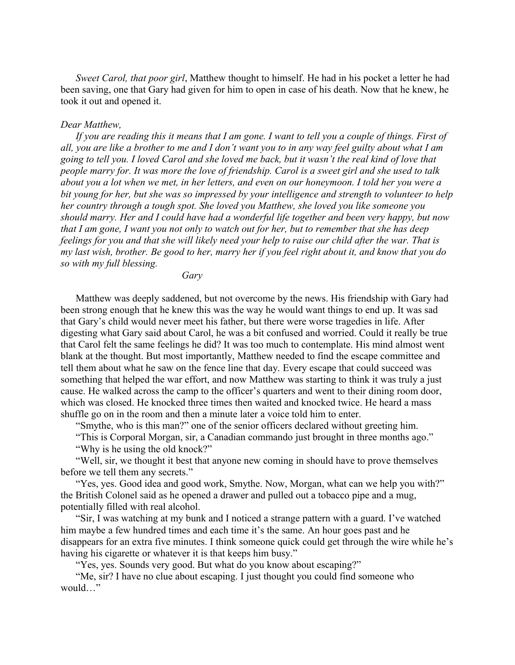*Sweet Carol, that poor girl*, Matthew thought to himself. He had in his pocket a letter he had been saving, one that Gary had given for him to open in case of his death. Now that he knew, he took it out and opened it.

#### *Dear Matthew,*

*If you are reading this it means that I am gone. I want to tell you a couple of things. First of all, you are like a brother to me and I don't want you to in any way feel guilty about what I am going to tell you. I loved Carol and she loved me back, but it wasn't the real kind of love that people marry for. It was more the love of friendship. Carol is a sweet girl and she used to talk about you a lot when we met, in her letters, and even on our honeymoon. I told her you were a bit young for her, but she was so impressed by your intelligence and strength to volunteer to help her country through a tough spot. She loved you Matthew, she loved you like someone you should marry. Her and I could have had a wonderful life together and been very happy, but now that I am gone, I want you not only to watch out for her, but to remember that she has deep feelings for you and that she will likely need your help to raise our child after the war. That is my last wish, brother. Be good to her, marry her if you feel right about it, and know that you do so with my full blessing.*

*Gary*

Matthew was deeply saddened, but not overcome by the news. His friendship with Gary had been strong enough that he knew this was the way he would want things to end up. It was sad that Gary's child would never meet his father, but there were worse tragedies in life. After digesting what Gary said about Carol, he was a bit confused and worried. Could it really be true that Carol felt the same feelings he did? It was too much to contemplate. His mind almost went blank at the thought. But most importantly, Matthew needed to find the escape committee and tell them about what he saw on the fence line that day. Every escape that could succeed was something that helped the war effort, and now Matthew was starting to think it was truly a just cause. He walked across the camp to the officer's quarters and went to their dining room door, which was closed. He knocked three times then waited and knocked twice. He heard a mass shuffle go on in the room and then a minute later a voice told him to enter.

"Smythe, who is this man?" one of the senior officers declared without greeting him.

"This is Corporal Morgan, sir, a Canadian commando just brought in three months ago." "Why is he using the old knock?"

"Well, sir, we thought it best that anyone new coming in should have to prove themselves before we tell them any secrets."

"Yes, yes. Good idea and good work, Smythe. Now, Morgan, what can we help you with?" the British Colonel said as he opened a drawer and pulled out a tobacco pipe and a mug, potentially filled with real alcohol.

"Sir, I was watching at my bunk and I noticed a strange pattern with a guard. I've watched him maybe a few hundred times and each time it's the same. An hour goes past and he disappears for an extra five minutes. I think someone quick could get through the wire while he's having his cigarette or whatever it is that keeps him busy."

"Yes, yes. Sounds very good. But what do you know about escaping?"

"Me, sir? I have no clue about escaping. I just thought you could find someone who would "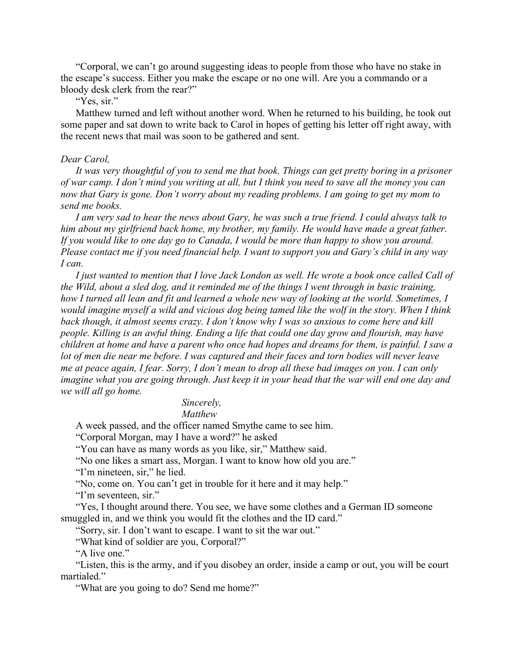"Corporal, we can't go around suggesting ideas to people from those who have no stake in the escape's success. Either you make the escape or no one will. Are you a commando or a bloody desk clerk from the rear?"

"Yes, sir."

Matthew turned and left without another word. When he returned to his building, he took out some paper and sat down to write back to Carol in hopes of getting his letter off right away, with the recent news that mail was soon to be gathered and sent.

#### *Dear Carol,*

*It was very thoughtful of you to send me that book. Things can get pretty boring in a prisoner of war camp. I don't mind you writing at all, but I think you need to save all the money you can now that Gary is gone. Don't worry about my reading problems. I am going to get my mom to send me books.*

*I am very sad to hear the news about Gary, he was such a true friend. I could always talk to him about my girlfriend back home, my brother, my family. He would have made a great father. If you would like to one day go to Canada, I would be more than happy to show you around. Please contact me if you need financial help. I want to support you and Gary's child in any way I can.*

*I just wanted to mention that I love Jack London as well. He wrote a book once called Call of the Wild, about a sled dog, and it reminded me of the things I went through in basic training, how I turned all lean and fit and learned a whole new way of looking at the world. Sometimes, I would imagine myself a wild and vicious dog being tamed like the wolf in the story. When I think back though, it almost seems crazy. I don't know why I was so anxious to come here and kill people. Killing is an awful thing. Ending a life that could one day grow and flourish, may have children at home and have a parent who once had hopes and dreams for them, is painful. I saw a lot of men die near me before. I was captured and their faces and torn bodies will never leave me at peace again, I fear. Sorry, I don't mean to drop all these bad images on you. I can only imagine what you are going through. Just keep it in your head that the war will end one day and we will all go home.*

# *Sincerely,*

*Matthew*

A week passed, and the officer named Smythe came to see him.

"Corporal Morgan, may I have a word?" he asked

"You can have as many words as you like, sir," Matthew said.

"No one likes a smart ass, Morgan. I want to know how old you are."

"I'm nineteen, sir," he lied.

"No, come on. You can't get in trouble for it here and it may help."

"I'm seventeen, sir."

"Yes, I thought around there. You see, we have some clothes and a German ID someone smuggled in, and we think you would fit the clothes and the ID card."

"Sorry, sir. I don't want to escape. I want to sit the war out."

"What kind of soldier are you, Corporal?"

"A live one."

"Listen, this is the army, and if you disobey an order, inside a camp or out, you will be court martialed."

"What are you going to do? Send me home?"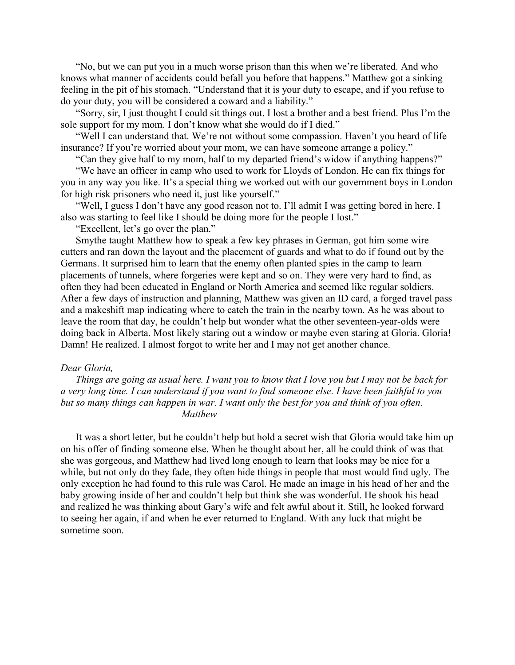"No, but we can put you in a much worse prison than this when we're liberated. And who knows what manner of accidents could befall you before that happens." Matthew got a sinking feeling in the pit of his stomach. "Understand that it is your duty to escape, and if you refuse to do your duty, you will be considered a coward and a liability."

"Sorry, sir, I just thought I could sit things out. I lost a brother and a best friend. Plus I'm the sole support for my mom. I don't know what she would do if I died."

"Well I can understand that. We're not without some compassion. Haven't you heard of life insurance? If you're worried about your mom, we can have someone arrange a policy."

"Can they give half to my mom, half to my departed friend's widow if anything happens?"

"We have an officer in camp who used to work for Lloyds of London. He can fix things for you in any way you like. It's a special thing we worked out with our government boys in London for high risk prisoners who need it, just like yourself."

"Well, I guess I don't have any good reason not to. I'll admit I was getting bored in here. I also was starting to feel like I should be doing more for the people I lost."

"Excellent, let's go over the plan."

Smythe taught Matthew how to speak a few key phrases in German, got him some wire cutters and ran down the layout and the placement of guards and what to do if found out by the Germans. It surprised him to learn that the enemy often planted spies in the camp to learn placements of tunnels, where forgeries were kept and so on. They were very hard to find, as often they had been educated in England or North America and seemed like regular soldiers. After a few days of instruction and planning, Matthew was given an ID card, a forged travel pass and a makeshift map indicating where to catch the train in the nearby town. As he was about to leave the room that day, he couldn't help but wonder what the other seventeen-year-olds were doing back in Alberta. Most likely staring out a window or maybe even staring at Gloria. Gloria! Damn! He realized. I almost forgot to write her and I may not get another chance.

#### *Dear Gloria,*

*Things are going as usual here. I want you to know that I love you but I may not be back for a very long time. I can understand if you want to find someone else. I have been faithful to you but so many things can happen in war. I want only the best for you and think of you often. Matthew*

It was a short letter, but he couldn't help but hold a secret wish that Gloria would take him up on his offer of finding someone else. When he thought about her, all he could think of was that she was gorgeous, and Matthew had lived long enough to learn that looks may be nice for a while, but not only do they fade, they often hide things in people that most would find ugly. The only exception he had found to this rule was Carol. He made an image in his head of her and the baby growing inside of her and couldn't help but think she was wonderful. He shook his head and realized he was thinking about Gary's wife and felt awful about it. Still, he looked forward to seeing her again, if and when he ever returned to England. With any luck that might be sometime soon.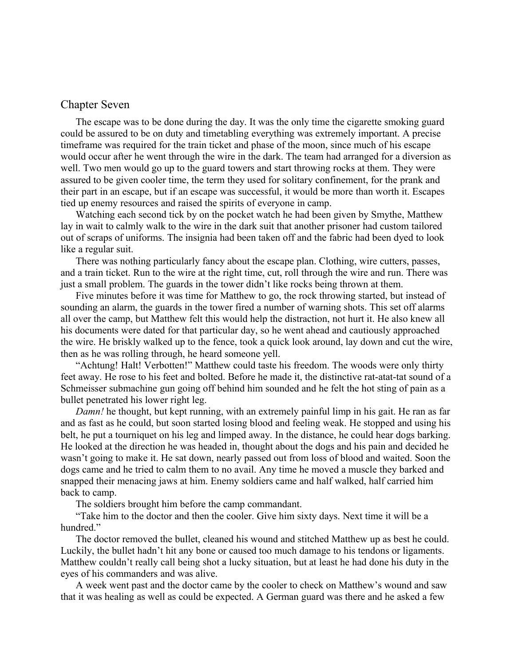### <span id="page-38-0"></span>Chapter Seven

The escape was to be done during the day. It was the only time the cigarette smoking guard could be assured to be on duty and timetabling everything was extremely important. A precise timeframe was required for the train ticket and phase of the moon, since much of his escape would occur after he went through the wire in the dark. The team had arranged for a diversion as well. Two men would go up to the guard towers and start throwing rocks at them. They were assured to be given cooler time, the term they used for solitary confinement, for the prank and their part in an escape, but if an escape was successful, it would be more than worth it. Escapes tied up enemy resources and raised the spirits of everyone in camp.

Watching each second tick by on the pocket watch he had been given by Smythe, Matthew lay in wait to calmly walk to the wire in the dark suit that another prisoner had custom tailored out of scraps of uniforms. The insignia had been taken off and the fabric had been dyed to look like a regular suit.

There was nothing particularly fancy about the escape plan. Clothing, wire cutters, passes, and a train ticket. Run to the wire at the right time, cut, roll through the wire and run. There was just a small problem. The guards in the tower didn't like rocks being thrown at them.

Five minutes before it was time for Matthew to go, the rock throwing started, but instead of sounding an alarm, the guards in the tower fired a number of warning shots. This set off alarms all over the camp, but Matthew felt this would help the distraction, not hurt it. He also knew all his documents were dated for that particular day, so he went ahead and cautiously approached the wire. He briskly walked up to the fence, took a quick look around, lay down and cut the wire, then as he was rolling through, he heard someone yell.

"Achtung! Halt! Verbotten!" Matthew could taste his freedom. The woods were only thirty feet away. He rose to his feet and bolted. Before he made it, the distinctive rat-atat-tat sound of a Schmeisser submachine gun going off behind him sounded and he felt the hot sting of pain as a bullet penetrated his lower right leg.

*Damn!* he thought, but kept running, with an extremely painful limp in his gait. He ran as far and as fast as he could, but soon started losing blood and feeling weak. He stopped and using his belt, he put a tourniquet on his leg and limped away. In the distance, he could hear dogs barking. He looked at the direction he was headed in, thought about the dogs and his pain and decided he wasn't going to make it. He sat down, nearly passed out from loss of blood and waited. Soon the dogs came and he tried to calm them to no avail. Any time he moved a muscle they barked and snapped their menacing jaws at him. Enemy soldiers came and half walked, half carried him back to camp.

The soldiers brought him before the camp commandant.

"Take him to the doctor and then the cooler. Give him sixty days. Next time it will be a hundred."

The doctor removed the bullet, cleaned his wound and stitched Matthew up as best he could. Luckily, the bullet hadn't hit any bone or caused too much damage to his tendons or ligaments. Matthew couldn't really call being shot a lucky situation, but at least he had done his duty in the eyes of his commanders and was alive.

A week went past and the doctor came by the cooler to check on Matthew's wound and saw that it was healing as well as could be expected. A German guard was there and he asked a few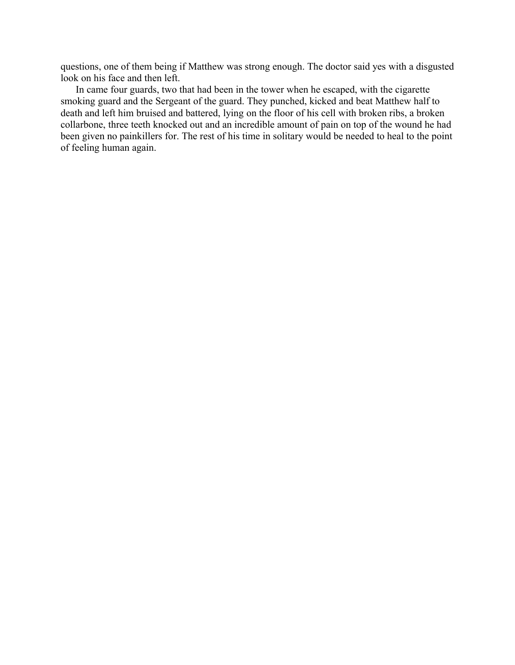questions, one of them being if Matthew was strong enough. The doctor said yes with a disgusted look on his face and then left.

In came four guards, two that had been in the tower when he escaped, with the cigarette smoking guard and the Sergeant of the guard. They punched, kicked and beat Matthew half to death and left him bruised and battered, lying on the floor of his cell with broken ribs, a broken collarbone, three teeth knocked out and an incredible amount of pain on top of the wound he had been given no painkillers for. The rest of his time in solitary would be needed to heal to the point of feeling human again.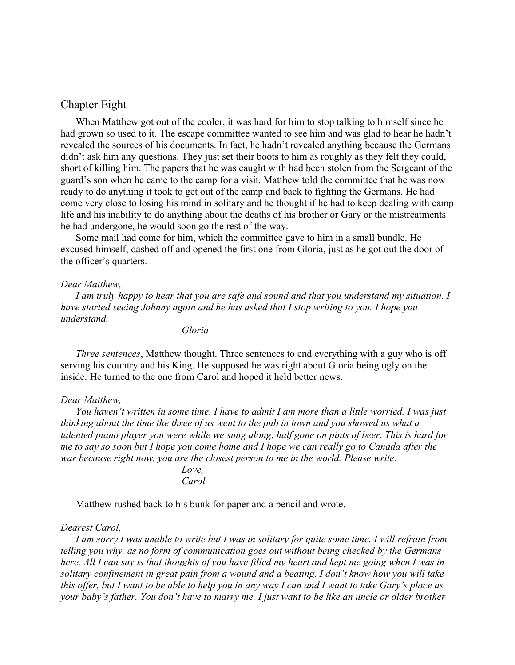## <span id="page-40-0"></span>Chapter Eight

When Matthew got out of the cooler, it was hard for him to stop talking to himself since he had grown so used to it. The escape committee wanted to see him and was glad to hear he hadn't revealed the sources of his documents. In fact, he hadn't revealed anything because the Germans didn't ask him any questions. They just set their boots to him as roughly as they felt they could, short of killing him. The papers that he was caught with had been stolen from the Sergeant of the guard's son when he came to the camp for a visit. Matthew told the committee that he was now ready to do anything it took to get out of the camp and back to fighting the Germans. He had come very close to losing his mind in solitary and he thought if he had to keep dealing with camp life and his inability to do anything about the deaths of his brother or Gary or the mistreatments he had undergone, he would soon go the rest of the way.

Some mail had come for him, which the committee gave to him in a small bundle. He excused himself, dashed off and opened the first one from Gloria, just as he got out the door of the officer's quarters.

#### *Dear Matthew,*

*I am truly happy to hear that you are safe and sound and that you understand my situation. I have started seeing Johnny again and he has asked that I stop writing to you. I hope you understand.*

*Gloria*

*Three sentences*, Matthew thought. Three sentences to end everything with a guy who is off serving his country and his King. He supposed he was right about Gloria being ugly on the inside. He turned to the one from Carol and hoped it held better news.

#### *Dear Matthew,*

*You haven't written in some time. I have to admit I am more than a little worried. I was just thinking about the time the three of us went to the pub in town and you showed us what a talented piano player you were while we sung along, half gone on pints of beer. This is hard for me to say so soon but I hope you come home and I hope we can really go to Canada after the war because right now, you are the closest person to me in the world. Please write.*

#### *Love, Carol*

Matthew rushed back to his bunk for paper and a pencil and wrote.

#### *Dearest Carol,*

*I am sorry I was unable to write but I was in solitary for quite some time. I will refrain from telling you why, as no form of communication goes out without being checked by the Germans here. All I can say is that thoughts of you have filled my heart and kept me going when I was in solitary confinement in great pain from a wound and a beating. I don't know how you will take this offer, but I want to be able to help you in any way I can and I want to take Gary's place as your baby's father. You don't have to marry me. I just want to be like an uncle or older brother*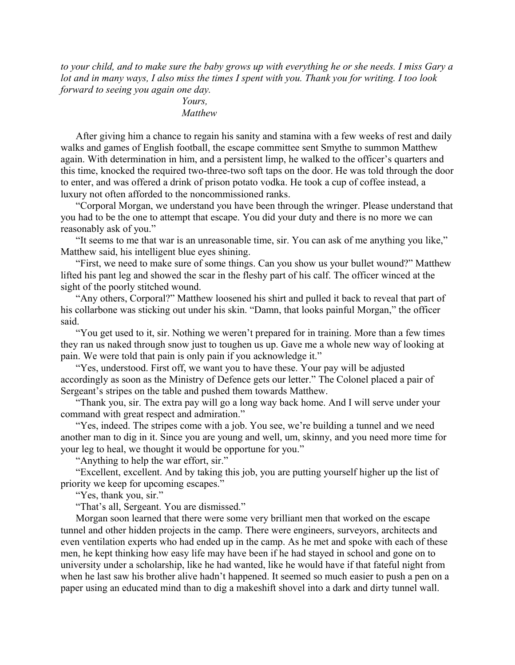*to your child, and to make sure the baby grows up with everything he or she needs. I miss Gary a lot and in many ways, I also miss the times I spent with you. Thank you for writing. I too look forward to seeing you again one day.*

*Yours, Matthew*

After giving him a chance to regain his sanity and stamina with a few weeks of rest and daily walks and games of English football, the escape committee sent Smythe to summon Matthew again. With determination in him, and a persistent limp, he walked to the officer's quarters and this time, knocked the required two-three-two soft taps on the door. He was told through the door to enter, and was offered a drink of prison potato vodka. He took a cup of coffee instead, a luxury not often afforded to the noncommissioned ranks.

"Corporal Morgan, we understand you have been through the wringer. Please understand that you had to be the one to attempt that escape. You did your duty and there is no more we can reasonably ask of you."

"It seems to me that war is an unreasonable time, sir. You can ask of me anything you like," Matthew said, his intelligent blue eyes shining.

"First, we need to make sure of some things. Can you show us your bullet wound?" Matthew lifted his pant leg and showed the scar in the fleshy part of his calf. The officer winced at the sight of the poorly stitched wound.

"Any others, Corporal?" Matthew loosened his shirt and pulled it back to reveal that part of his collarbone was sticking out under his skin. "Damn, that looks painful Morgan," the officer said.

"You get used to it, sir. Nothing we weren't prepared for in training. More than a few times they ran us naked through snow just to toughen us up. Gave me a whole new way of looking at pain. We were told that pain is only pain if you acknowledge it."

"Yes, understood. First off, we want you to have these. Your pay will be adjusted accordingly as soon as the Ministry of Defence gets our letter." The Colonel placed a pair of Sergeant's stripes on the table and pushed them towards Matthew.

"Thank you, sir. The extra pay will go a long way back home. And I will serve under your command with great respect and admiration."

"Yes, indeed. The stripes come with a job. You see, we're building a tunnel and we need another man to dig in it. Since you are young and well, um, skinny, and you need more time for your leg to heal, we thought it would be opportune for you."

"Anything to help the war effort, sir."

"Excellent, excellent. And by taking this job, you are putting yourself higher up the list of priority we keep for upcoming escapes."

"Yes, thank you, sir."

"That's all, Sergeant. You are dismissed."

Morgan soon learned that there were some very brilliant men that worked on the escape tunnel and other hidden projects in the camp. There were engineers, surveyors, architects and even ventilation experts who had ended up in the camp. As he met and spoke with each of these men, he kept thinking how easy life may have been if he had stayed in school and gone on to university under a scholarship, like he had wanted, like he would have if that fateful night from when he last saw his brother alive hadn't happened. It seemed so much easier to push a pen on a paper using an educated mind than to dig a makeshift shovel into a dark and dirty tunnel wall.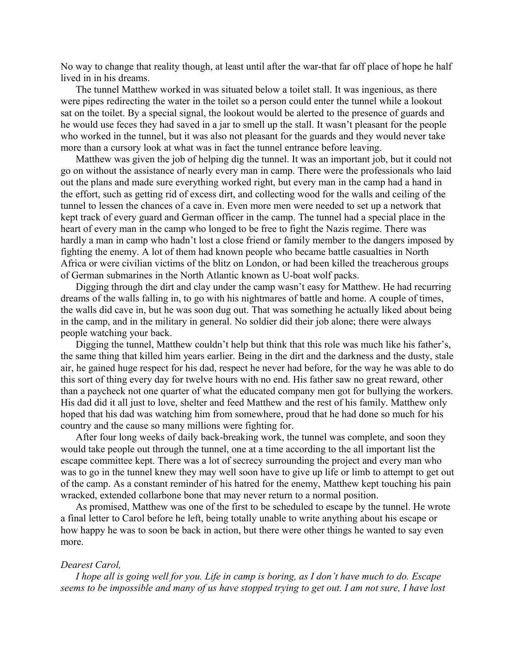No way to change that reality though, at least until after the war-that far off place of hope he half lived in in his dreams.

The tunnel Matthew worked in was situated below a toilet stall. It was ingenious, as there were pipes redirecting the water in the toilet so a person could enter the tunnel while a lookout sat on the toilet. By a special signal, the lookout would be alerted to the presence of guards and he would use feces they had saved in a jar to smell up the stall. It wasn't pleasant for the people who worked in the tunnel, but it was also not pleasant for the guards and they would never take more than a cursory look at what was in fact the tunnel entrance before leaving.

Matthew was given the job of helping dig the tunnel. It was an important job, but it could not go on without the assistance of nearly every man in camp. There were the professionals who laid out the plans and made sure everything worked right, but every man in the camp had a hand in the effort, such as getting rid of excess dirt, and collecting wood for the walls and ceiling of the tunnel to lessen the chances of a cave in. Even more men were needed to set up a network that kept track of every guard and German officer in the camp. The tunnel had a special place in the heart of every man in the camp who longed to be free to fight the Nazis regime. There was hardly a man in camp who hadn't lost a close friend or family member to the dangers imposed by fighting the enemy. A lot of them had known people who became battle casualties in North Africa or were civilian victims of the blitz on London, or had been killed the treacherous groups of German submarines in the North Atlantic known as U-boat wolf packs.

Digging through the dirt and clay under the camp wasn't easy for Matthew. He had recurring dreams of the walls falling in, to go with his nightmares of battle and home. A couple of times, the walls did cave in, but he was soon dug out. That was something he actually liked about being in the camp, and in the military in general. No soldier did their job alone; there were always people watching your back.

Digging the tunnel, Matthew couldn't help but think that this role was much like his father's, the same thing that killed him years earlier. Being in the dirt and the darkness and the dusty, stale air, he gained huge respect for his dad, respect he never had before, for the way he was able to do this sort of thing every day for twelve hours with no end. His father saw no great reward, other than a paycheck not one quarter of what the educated company men got for bullying the workers. His dad did it all just to love, shelter and feed Matthew and the rest of his family. Matthew only hoped that his dad was watching him from somewhere, proud that he had done so much for his country and the cause so many millions were fighting for.

After four long weeks of daily back-breaking work, the tunnel was complete, and soon they would take people out through the tunnel, one at a time according to the all important list the escape committee kept. There was a lot of secrecy surrounding the project and every man who was to go in the tunnel knew they may well soon have to give up life or limb to attempt to get out of the camp. As a constant reminder of his hatred for the enemy, Matthew kept touching his pain wracked, extended collarbone bone that may never return to a normal position.

As promised, Matthew was one of the first to be scheduled to escape by the tunnel. He wrote a final letter to Carol before he left, being totally unable to write anything about his escape or how happy he was to soon be back in action, but there were other things he wanted to say even more.

#### *Dearest Carol,*

*I hope all is going well for you. Life in camp is boring, as I don't have much to do. Escape seems to be impossible and many of us have stopped trying to get out. I am not sure, I have lost*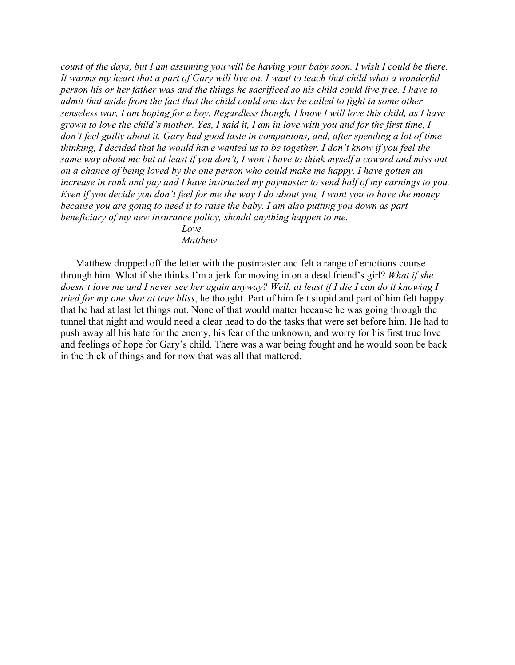*count of the days, but I am assuming you will be having your baby soon. I wish I could be there. It warms my heart that a part of Gary will live on. I want to teach that child what a wonderful person his or her father was and the things he sacrificed so his child could live free. I have to admit that aside from the fact that the child could one day be called to fight in some other senseless war, I am hoping for a boy. Regardless though, I know I will love this child, as I have grown to love the child's mother. Yes, I said it, I am in love with you and for the first time, I don't feel guilty about it. Gary had good taste in companions, and, after spending a lot of time thinking, I decided that he would have wanted us to be together. I don't know if you feel the same way about me but at least if you don't, I won't have to think myself a coward and miss out on a chance of being loved by the one person who could make me happy. I have gotten an increase in rank and pay and I have instructed my paymaster to send half of my earnings to you. Even if you decide you don't feel for me the way I do about you, I want you to have the money because you are going to need it to raise the baby. I am also putting you down as part beneficiary of my new insurance policy, should anything happen to me.*

> *Love, Matthew*

Matthew dropped off the letter with the postmaster and felt a range of emotions course through him. What if she thinks I'm a jerk for moving in on a dead friend's girl? *What if she doesn't love me and I never see her again anyway? Well, at least if I die I can do it knowing I tried for my one shot at true bliss*, he thought. Part of him felt stupid and part of him felt happy that he had at last let things out. None of that would matter because he was going through the tunnel that night and would need a clear head to do the tasks that were set before him. He had to push away all his hate for the enemy, his fear of the unknown, and worry for his first true love and feelings of hope for Gary's child. There was a war being fought and he would soon be back in the thick of things and for now that was all that mattered.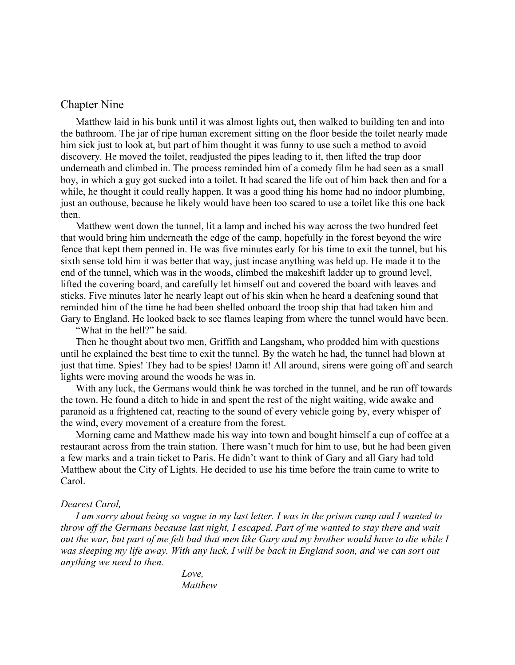### <span id="page-44-0"></span>Chapter Nine

Matthew laid in his bunk until it was almost lights out, then walked to building ten and into the bathroom. The jar of ripe human excrement sitting on the floor beside the toilet nearly made him sick just to look at, but part of him thought it was funny to use such a method to avoid discovery. He moved the toilet, readjusted the pipes leading to it, then lifted the trap door underneath and climbed in. The process reminded him of a comedy film he had seen as a small boy, in which a guy got sucked into a toilet. It had scared the life out of him back then and for a while, he thought it could really happen. It was a good thing his home had no indoor plumbing, just an outhouse, because he likely would have been too scared to use a toilet like this one back then.

Matthew went down the tunnel, lit a lamp and inched his way across the two hundred feet that would bring him underneath the edge of the camp, hopefully in the forest beyond the wire fence that kept them penned in. He was five minutes early for his time to exit the tunnel, but his sixth sense told him it was better that way, just incase anything was held up. He made it to the end of the tunnel, which was in the woods, climbed the makeshift ladder up to ground level, lifted the covering board, and carefully let himself out and covered the board with leaves and sticks. Five minutes later he nearly leapt out of his skin when he heard a deafening sound that reminded him of the time he had been shelled onboard the troop ship that had taken him and Gary to England. He looked back to see flames leaping from where the tunnel would have been.

"What in the hell?" he said.

Then he thought about two men, Griffith and Langsham, who prodded him with questions until he explained the best time to exit the tunnel. By the watch he had, the tunnel had blown at just that time. Spies! They had to be spies! Damn it! All around, sirens were going off and search lights were moving around the woods he was in.

With any luck, the Germans would think he was torched in the tunnel, and he ran off towards the town. He found a ditch to hide in and spent the rest of the night waiting, wide awake and paranoid as a frightened cat, reacting to the sound of every vehicle going by, every whisper of the wind, every movement of a creature from the forest.

Morning came and Matthew made his way into town and bought himself a cup of coffee at a restaurant across from the train station. There wasn't much for him to use, but he had been given a few marks and a train ticket to Paris. He didn't want to think of Gary and all Gary had told Matthew about the City of Lights. He decided to use his time before the train came to write to Carol.

#### *Dearest Carol,*

*I am sorry about being so vague in my last letter. I was in the prison camp and I wanted to throw off the Germans because last night, I escaped. Part of me wanted to stay there and wait out the war, but part of me felt bad that men like Gary and my brother would have to die while I was sleeping my life away. With any luck, I will be back in England soon, and we can sort out anything we need to then.*

> *Love, Matthew*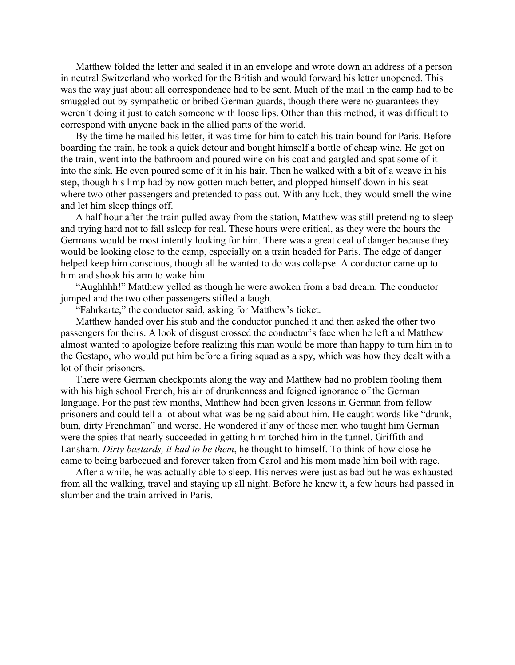Matthew folded the letter and sealed it in an envelope and wrote down an address of a person in neutral Switzerland who worked for the British and would forward his letter unopened. This was the way just about all correspondence had to be sent. Much of the mail in the camp had to be smuggled out by sympathetic or bribed German guards, though there were no guarantees they weren't doing it just to catch someone with loose lips. Other than this method, it was difficult to correspond with anyone back in the allied parts of the world.

By the time he mailed his letter, it was time for him to catch his train bound for Paris. Before boarding the train, he took a quick detour and bought himself a bottle of cheap wine. He got on the train, went into the bathroom and poured wine on his coat and gargled and spat some of it into the sink. He even poured some of it in his hair. Then he walked with a bit of a weave in his step, though his limp had by now gotten much better, and plopped himself down in his seat where two other passengers and pretended to pass out. With any luck, they would smell the wine and let him sleep things off.

A half hour after the train pulled away from the station, Matthew was still pretending to sleep and trying hard not to fall asleep for real. These hours were critical, as they were the hours the Germans would be most intently looking for him. There was a great deal of danger because they would be looking close to the camp, especially on a train headed for Paris. The edge of danger helped keep him conscious, though all he wanted to do was collapse. A conductor came up to him and shook his arm to wake him.

"Aughhhh!" Matthew yelled as though he were awoken from a bad dream. The conductor jumped and the two other passengers stifled a laugh.

"Fahrkarte," the conductor said, asking for Matthew's ticket.

Matthew handed over his stub and the conductor punched it and then asked the other two passengers for theirs. A look of disgust crossed the conductor's face when he left and Matthew almost wanted to apologize before realizing this man would be more than happy to turn him in to the Gestapo, who would put him before a firing squad as a spy, which was how they dealt with a lot of their prisoners.

There were German checkpoints along the way and Matthew had no problem fooling them with his high school French, his air of drunkenness and feigned ignorance of the German language. For the past few months, Matthew had been given lessons in German from fellow prisoners and could tell a lot about what was being said about him. He caught words like "drunk, bum, dirty Frenchman" and worse. He wondered if any of those men who taught him German were the spies that nearly succeeded in getting him torched him in the tunnel. Griffith and Lansham. *Dirty bastards, it had to be them*, he thought to himself. To think of how close he came to being barbecued and forever taken from Carol and his mom made him boil with rage.

After a while, he was actually able to sleep. His nerves were just as bad but he was exhausted from all the walking, travel and staying up all night. Before he knew it, a few hours had passed in slumber and the train arrived in Paris.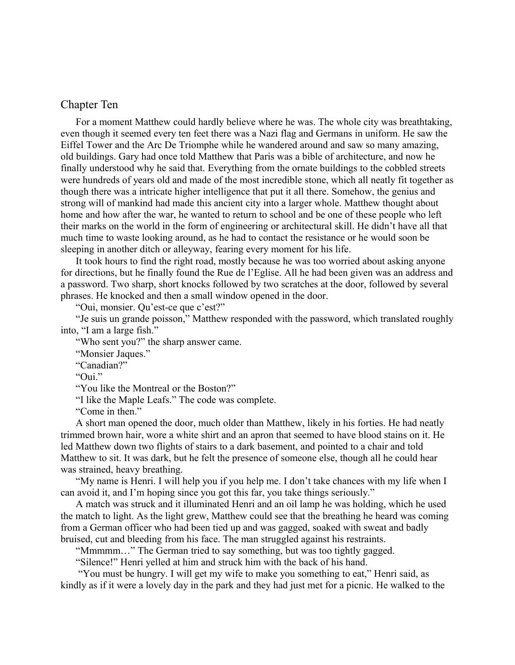### <span id="page-46-0"></span>Chapter Ten

For a moment Matthew could hardly believe where he was. The whole city was breathtaking, even though it seemed every ten feet there was a Nazi flag and Germans in uniform. He saw the Eiffel Tower and the Arc De Triomphe while he wandered around and saw so many amazing, old buildings. Gary had once told Matthew that Paris was a bible of architecture, and now he finally understood why he said that. Everything from the ornate buildings to the cobbled streets were hundreds of years old and made of the most incredible stone, which all neatly fit together as though there was a intricate higher intelligence that put it all there. Somehow, the genius and strong will of mankind had made this ancient city into a larger whole. Matthew thought about home and how after the war, he wanted to return to school and be one of these people who left their marks on the world in the form of engineering or architectural skill. He didn't have all that much time to waste looking around, as he had to contact the resistance or he would soon be sleeping in another ditch or alleyway, fearing every moment for his life.

It took hours to find the right road, mostly because he was too worried about asking anyone for directions, but he finally found the Rue de l'Eglise. All he had been given was an address and a password. Two sharp, short knocks followed by two scratches at the door, followed by several phrases. He knocked and then a small window opened in the door.

"Oui, monsier. Qu'est-ce que c'est?"

"Je suis un grande poisson," Matthew responded with the password, which translated roughly into, "I am a large fish."

"Who sent you?" the sharp answer came.

"Monsier Jaques."

"Canadian?"

"Oui."

"You like the Montreal or the Boston?"

"I like the Maple Leafs." The code was complete.

"Come in then."

A short man opened the door, much older than Matthew, likely in his forties. He had neatly trimmed brown hair, wore a white shirt and an apron that seemed to have blood stains on it. He led Matthew down two flights of stairs to a dark basement, and pointed to a chair and told Matthew to sit. It was dark, but he felt the presence of someone else, though all he could hear was strained, heavy breathing.

"My name is Henri. I will help you if you help me. I don't take chances with my life when I can avoid it, and I'm hoping since you got this far, you take things seriously."

A match was struck and it illuminated Henri and an oil lamp he was holding, which he used the match to light. As the light grew, Matthew could see that the breathing he heard was coming from a German officer who had been tied up and was gagged, soaked with sweat and badly bruised, cut and bleeding from his face. The man struggled against his restraints.

"Mmmmm…" The German tried to say something, but was too tightly gagged.

"Silence!" Henri yelled at him and struck him with the back of his hand.

 "You must be hungry. I will get my wife to make you something to eat," Henri said, as kindly as if it were a lovely day in the park and they had just met for a picnic. He walked to the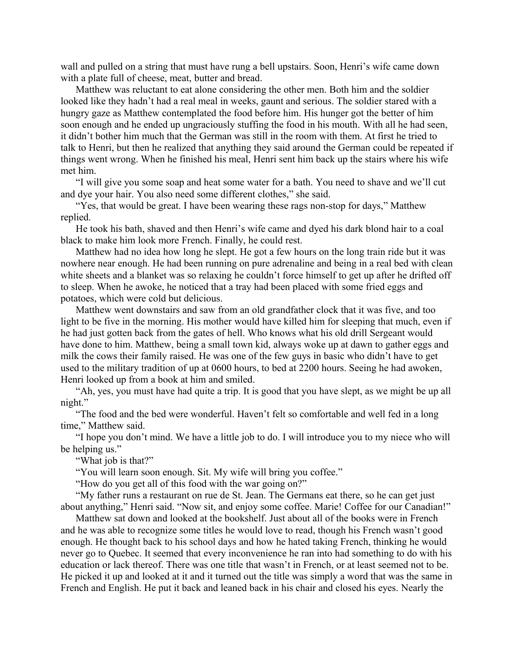wall and pulled on a string that must have rung a bell upstairs. Soon, Henri's wife came down with a plate full of cheese, meat, butter and bread.

Matthew was reluctant to eat alone considering the other men. Both him and the soldier looked like they hadn't had a real meal in weeks, gaunt and serious. The soldier stared with a hungry gaze as Matthew contemplated the food before him. His hunger got the better of him soon enough and he ended up ungraciously stuffing the food in his mouth. With all he had seen, it didn't bother him much that the German was still in the room with them. At first he tried to talk to Henri, but then he realized that anything they said around the German could be repeated if things went wrong. When he finished his meal, Henri sent him back up the stairs where his wife met him.

"I will give you some soap and heat some water for a bath. You need to shave and we'll cut and dye your hair. You also need some different clothes," she said.

"Yes, that would be great. I have been wearing these rags non-stop for days," Matthew replied.

He took his bath, shaved and then Henri's wife came and dyed his dark blond hair to a coal black to make him look more French. Finally, he could rest.

Matthew had no idea how long he slept. He got a few hours on the long train ride but it was nowhere near enough. He had been running on pure adrenaline and being in a real bed with clean white sheets and a blanket was so relaxing he couldn't force himself to get up after he drifted off to sleep. When he awoke, he noticed that a tray had been placed with some fried eggs and potatoes, which were cold but delicious.

Matthew went downstairs and saw from an old grandfather clock that it was five, and too light to be five in the morning. His mother would have killed him for sleeping that much, even if he had just gotten back from the gates of hell. Who knows what his old drill Sergeant would have done to him. Matthew, being a small town kid, always woke up at dawn to gather eggs and milk the cows their family raised. He was one of the few guys in basic who didn't have to get used to the military tradition of up at 0600 hours, to bed at 2200 hours. Seeing he had awoken, Henri looked up from a book at him and smiled.

"Ah, yes, you must have had quite a trip. It is good that you have slept, as we might be up all night."

"The food and the bed were wonderful. Haven't felt so comfortable and well fed in a long time," Matthew said.

"I hope you don't mind. We have a little job to do. I will introduce you to my niece who will be helping us."

"What job is that?"

"You will learn soon enough. Sit. My wife will bring you coffee."

"How do you get all of this food with the war going on?"

"My father runs a restaurant on rue de St. Jean. The Germans eat there, so he can get just about anything," Henri said. "Now sit, and enjoy some coffee. Marie! Coffee for our Canadian!"

Matthew sat down and looked at the bookshelf. Just about all of the books were in French and he was able to recognize some titles he would love to read, though his French wasn't good enough. He thought back to his school days and how he hated taking French, thinking he would never go to Quebec. It seemed that every inconvenience he ran into had something to do with his education or lack thereof. There was one title that wasn't in French, or at least seemed not to be. He picked it up and looked at it and it turned out the title was simply a word that was the same in French and English. He put it back and leaned back in his chair and closed his eyes. Nearly the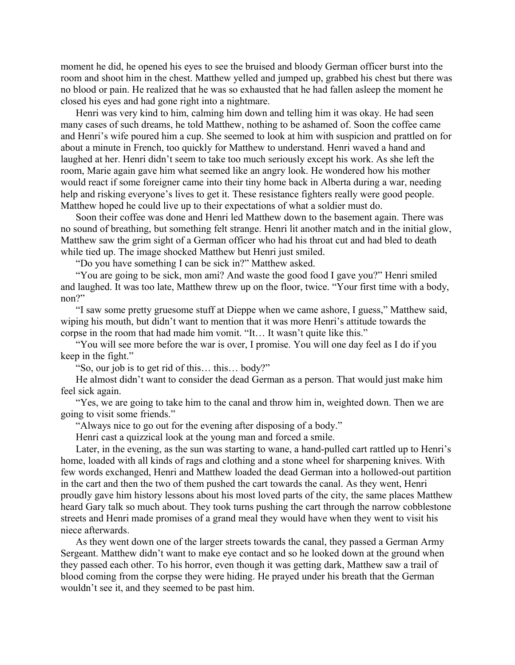moment he did, he opened his eyes to see the bruised and bloody German officer burst into the room and shoot him in the chest. Matthew yelled and jumped up, grabbed his chest but there was no blood or pain. He realized that he was so exhausted that he had fallen asleep the moment he closed his eyes and had gone right into a nightmare.

Henri was very kind to him, calming him down and telling him it was okay. He had seen many cases of such dreams, he told Matthew, nothing to be ashamed of. Soon the coffee came and Henri's wife poured him a cup. She seemed to look at him with suspicion and prattled on for about a minute in French, too quickly for Matthew to understand. Henri waved a hand and laughed at her. Henri didn't seem to take too much seriously except his work. As she left the room, Marie again gave him what seemed like an angry look. He wondered how his mother would react if some foreigner came into their tiny home back in Alberta during a war, needing help and risking everyone's lives to get it. These resistance fighters really were good people. Matthew hoped he could live up to their expectations of what a soldier must do.

Soon their coffee was done and Henri led Matthew down to the basement again. There was no sound of breathing, but something felt strange. Henri lit another match and in the initial glow, Matthew saw the grim sight of a German officer who had his throat cut and had bled to death while tied up. The image shocked Matthew but Henri just smiled.

"Do you have something I can be sick in?" Matthew asked.

"You are going to be sick, mon ami? And waste the good food I gave you?" Henri smiled and laughed. It was too late, Matthew threw up on the floor, twice. "Your first time with a body, non?"

"I saw some pretty gruesome stuff at Dieppe when we came ashore, I guess," Matthew said, wiping his mouth, but didn't want to mention that it was more Henri's attitude towards the corpse in the room that had made him vomit. "It… It wasn't quite like this."

"You will see more before the war is over, I promise. You will one day feel as I do if you keep in the fight."

"So, our job is to get rid of this… this… body?"

He almost didn't want to consider the dead German as a person. That would just make him feel sick again.

"Yes, we are going to take him to the canal and throw him in, weighted down. Then we are going to visit some friends."

"Always nice to go out for the evening after disposing of a body."

Henri cast a quizzical look at the young man and forced a smile.

Later, in the evening, as the sun was starting to wane, a hand-pulled cart rattled up to Henri's home, loaded with all kinds of rags and clothing and a stone wheel for sharpening knives. With few words exchanged, Henri and Matthew loaded the dead German into a hollowed-out partition in the cart and then the two of them pushed the cart towards the canal. As they went, Henri proudly gave him history lessons about his most loved parts of the city, the same places Matthew heard Gary talk so much about. They took turns pushing the cart through the narrow cobblestone streets and Henri made promises of a grand meal they would have when they went to visit his niece afterwards.

As they went down one of the larger streets towards the canal, they passed a German Army Sergeant. Matthew didn't want to make eye contact and so he looked down at the ground when they passed each other. To his horror, even though it was getting dark, Matthew saw a trail of blood coming from the corpse they were hiding. He prayed under his breath that the German wouldn't see it, and they seemed to be past him.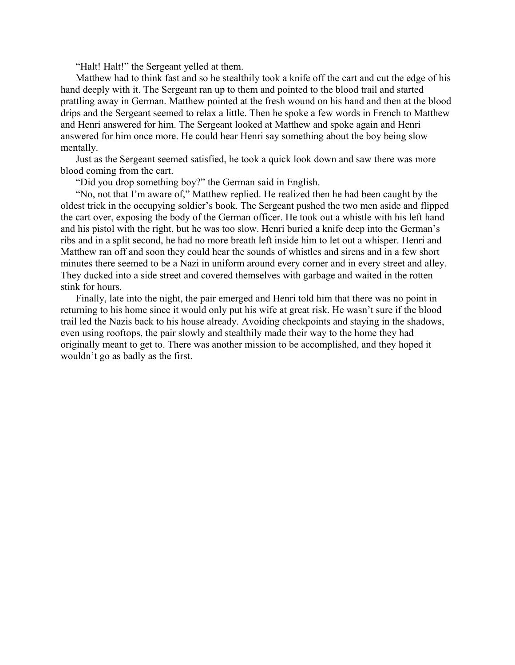"Halt! Halt!" the Sergeant yelled at them.

Matthew had to think fast and so he stealthily took a knife off the cart and cut the edge of his hand deeply with it. The Sergeant ran up to them and pointed to the blood trail and started prattling away in German. Matthew pointed at the fresh wound on his hand and then at the blood drips and the Sergeant seemed to relax a little. Then he spoke a few words in French to Matthew and Henri answered for him. The Sergeant looked at Matthew and spoke again and Henri answered for him once more. He could hear Henri say something about the boy being slow mentally.

Just as the Sergeant seemed satisfied, he took a quick look down and saw there was more blood coming from the cart.

"Did you drop something boy?" the German said in English.

"No, not that I'm aware of," Matthew replied. He realized then he had been caught by the oldest trick in the occupying soldier's book. The Sergeant pushed the two men aside and flipped the cart over, exposing the body of the German officer. He took out a whistle with his left hand and his pistol with the right, but he was too slow. Henri buried a knife deep into the German's ribs and in a split second, he had no more breath left inside him to let out a whisper. Henri and Matthew ran off and soon they could hear the sounds of whistles and sirens and in a few short minutes there seemed to be a Nazi in uniform around every corner and in every street and alley. They ducked into a side street and covered themselves with garbage and waited in the rotten stink for hours.

Finally, late into the night, the pair emerged and Henri told him that there was no point in returning to his home since it would only put his wife at great risk. He wasn't sure if the blood trail led the Nazis back to his house already. Avoiding checkpoints and staying in the shadows, even using rooftops, the pair slowly and stealthily made their way to the home they had originally meant to get to. There was another mission to be accomplished, and they hoped it wouldn't go as badly as the first.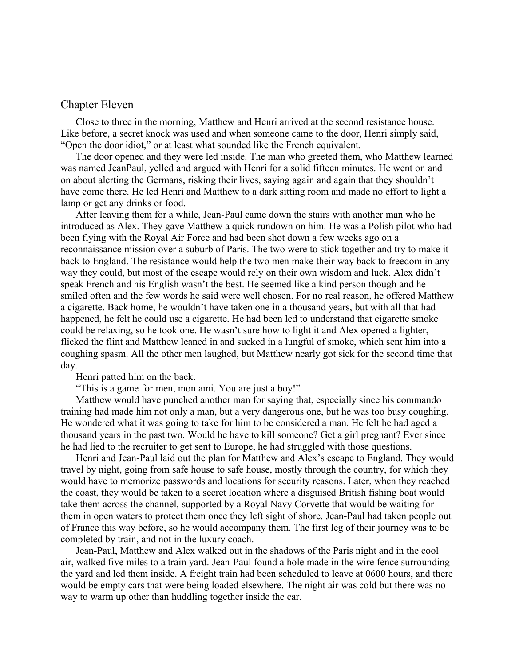### <span id="page-50-0"></span>Chapter Eleven

Close to three in the morning, Matthew and Henri arrived at the second resistance house. Like before, a secret knock was used and when someone came to the door, Henri simply said, "Open the door idiot," or at least what sounded like the French equivalent.

The door opened and they were led inside. The man who greeted them, who Matthew learned was named JeanPaul, yelled and argued with Henri for a solid fifteen minutes. He went on and on about alerting the Germans, risking their lives, saying again and again that they shouldn't have come there. He led Henri and Matthew to a dark sitting room and made no effort to light a lamp or get any drinks or food.

After leaving them for a while, Jean-Paul came down the stairs with another man who he introduced as Alex. They gave Matthew a quick rundown on him. He was a Polish pilot who had been flying with the Royal Air Force and had been shot down a few weeks ago on a reconnaissance mission over a suburb of Paris. The two were to stick together and try to make it back to England. The resistance would help the two men make their way back to freedom in any way they could, but most of the escape would rely on their own wisdom and luck. Alex didn't speak French and his English wasn't the best. He seemed like a kind person though and he smiled often and the few words he said were well chosen. For no real reason, he offered Matthew a cigarette. Back home, he wouldn't have taken one in a thousand years, but with all that had happened, he felt he could use a cigarette. He had been led to understand that cigarette smoke could be relaxing, so he took one. He wasn't sure how to light it and Alex opened a lighter, flicked the flint and Matthew leaned in and sucked in a lungful of smoke, which sent him into a coughing spasm. All the other men laughed, but Matthew nearly got sick for the second time that day.

Henri patted him on the back.

"This is a game for men, mon ami. You are just a boy!"

Matthew would have punched another man for saying that, especially since his commando training had made him not only a man, but a very dangerous one, but he was too busy coughing. He wondered what it was going to take for him to be considered a man. He felt he had aged a thousand years in the past two. Would he have to kill someone? Get a girl pregnant? Ever since he had lied to the recruiter to get sent to Europe, he had struggled with those questions.

Henri and Jean-Paul laid out the plan for Matthew and Alex's escape to England. They would travel by night, going from safe house to safe house, mostly through the country, for which they would have to memorize passwords and locations for security reasons. Later, when they reached the coast, they would be taken to a secret location where a disguised British fishing boat would take them across the channel, supported by a Royal Navy Corvette that would be waiting for them in open waters to protect them once they left sight of shore. Jean-Paul had taken people out of France this way before, so he would accompany them. The first leg of their journey was to be completed by train, and not in the luxury coach.

Jean-Paul, Matthew and Alex walked out in the shadows of the Paris night and in the cool air, walked five miles to a train yard. Jean-Paul found a hole made in the wire fence surrounding the yard and led them inside. A freight train had been scheduled to leave at 0600 hours, and there would be empty cars that were being loaded elsewhere. The night air was cold but there was no way to warm up other than huddling together inside the car.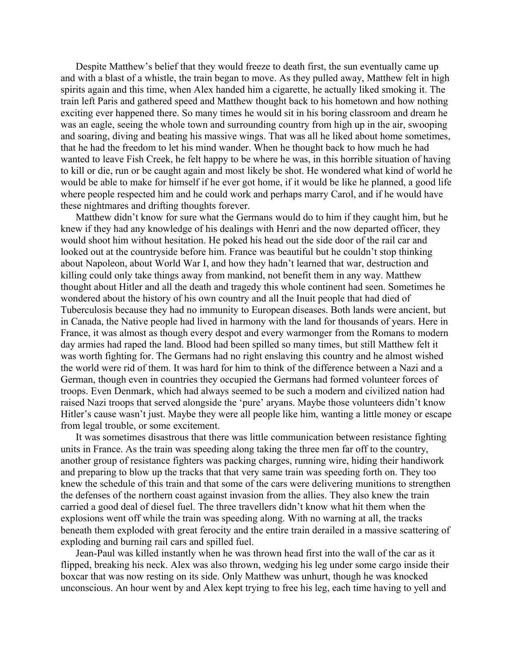Despite Matthew's belief that they would freeze to death first, the sun eventually came up and with a blast of a whistle, the train began to move. As they pulled away, Matthew felt in high spirits again and this time, when Alex handed him a cigarette, he actually liked smoking it. The train left Paris and gathered speed and Matthew thought back to his hometown and how nothing exciting ever happened there. So many times he would sit in his boring classroom and dream he was an eagle, seeing the whole town and surrounding country from high up in the air, swooping and soaring, diving and beating his massive wings. That was all he liked about home sometimes, that he had the freedom to let his mind wander. When he thought back to how much he had wanted to leave Fish Creek, he felt happy to be where he was, in this horrible situation of having to kill or die, run or be caught again and most likely be shot. He wondered what kind of world he would be able to make for himself if he ever got home, if it would be like he planned, a good life where people respected him and he could work and perhaps marry Carol, and if he would have these nightmares and drifting thoughts forever.

Matthew didn't know for sure what the Germans would do to him if they caught him, but he knew if they had any knowledge of his dealings with Henri and the now departed officer, they would shoot him without hesitation. He poked his head out the side door of the rail car and looked out at the countryside before him. France was beautiful but he couldn't stop thinking about Napoleon, about World War I, and how they hadn't learned that war, destruction and killing could only take things away from mankind, not benefit them in any way. Matthew thought about Hitler and all the death and tragedy this whole continent had seen. Sometimes he wondered about the history of his own country and all the Inuit people that had died of Tuberculosis because they had no immunity to European diseases. Both lands were ancient, but in Canada, the Native people had lived in harmony with the land for thousands of years. Here in France, it was almost as though every despot and every warmonger from the Romans to modern day armies had raped the land. Blood had been spilled so many times, but still Matthew felt it was worth fighting for. The Germans had no right enslaving this country and he almost wished the world were rid of them. It was hard for him to think of the difference between a Nazi and a German, though even in countries they occupied the Germans had formed volunteer forces of troops. Even Denmark, which had always seemed to be such a modern and civilized nation had raised Nazi troops that served alongside the 'pure' aryans. Maybe those volunteers didn't know Hitler's cause wasn't just. Maybe they were all people like him, wanting a little money or escape from legal trouble, or some excitement.

It was sometimes disastrous that there was little communication between resistance fighting units in France. As the train was speeding along taking the three men far off to the country, another group of resistance fighters was packing charges, running wire, hiding their handiwork and preparing to blow up the tracks that that very same train was speeding forth on. They too knew the schedule of this train and that some of the cars were delivering munitions to strengthen the defenses of the northern coast against invasion from the allies. They also knew the train carried a good deal of diesel fuel. The three travellers didn't know what hit them when the explosions went off while the train was speeding along. With no warning at all, the tracks beneath them exploded with great ferocity and the entire train derailed in a massive scattering of exploding and burning rail cars and spilled fuel.

Jean-Paul was killed instantly when he was thrown head first into the wall of the car as it flipped, breaking his neck. Alex was also thrown, wedging his leg under some cargo inside their boxcar that was now resting on its side. Only Matthew was unhurt, though he was knocked unconscious. An hour went by and Alex kept trying to free his leg, each time having to yell and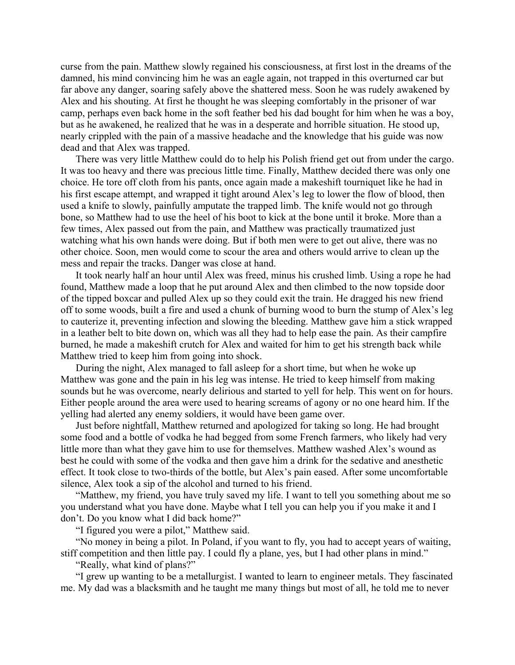curse from the pain. Matthew slowly regained his consciousness, at first lost in the dreams of the damned, his mind convincing him he was an eagle again, not trapped in this overturned car but far above any danger, soaring safely above the shattered mess. Soon he was rudely awakened by Alex and his shouting. At first he thought he was sleeping comfortably in the prisoner of war camp, perhaps even back home in the soft feather bed his dad bought for him when he was a boy, but as he awakened, he realized that he was in a desperate and horrible situation. He stood up, nearly crippled with the pain of a massive headache and the knowledge that his guide was now dead and that Alex was trapped.

There was very little Matthew could do to help his Polish friend get out from under the cargo. It was too heavy and there was precious little time. Finally, Matthew decided there was only one choice. He tore off cloth from his pants, once again made a makeshift tourniquet like he had in his first escape attempt, and wrapped it tight around Alex's leg to lower the flow of blood, then used a knife to slowly, painfully amputate the trapped limb. The knife would not go through bone, so Matthew had to use the heel of his boot to kick at the bone until it broke. More than a few times, Alex passed out from the pain, and Matthew was practically traumatized just watching what his own hands were doing. But if both men were to get out alive, there was no other choice. Soon, men would come to scour the area and others would arrive to clean up the mess and repair the tracks. Danger was close at hand.

It took nearly half an hour until Alex was freed, minus his crushed limb. Using a rope he had found, Matthew made a loop that he put around Alex and then climbed to the now topside door of the tipped boxcar and pulled Alex up so they could exit the train. He dragged his new friend off to some woods, built a fire and used a chunk of burning wood to burn the stump of Alex's leg to cauterize it, preventing infection and slowing the bleeding. Matthew gave him a stick wrapped in a leather belt to bite down on, which was all they had to help ease the pain. As their campfire burned, he made a makeshift crutch for Alex and waited for him to get his strength back while Matthew tried to keep him from going into shock.

During the night, Alex managed to fall asleep for a short time, but when he woke up Matthew was gone and the pain in his leg was intense. He tried to keep himself from making sounds but he was overcome, nearly delirious and started to yell for help. This went on for hours. Either people around the area were used to hearing screams of agony or no one heard him. If the yelling had alerted any enemy soldiers, it would have been game over.

Just before nightfall, Matthew returned and apologized for taking so long. He had brought some food and a bottle of vodka he had begged from some French farmers, who likely had very little more than what they gave him to use for themselves. Matthew washed Alex's wound as best he could with some of the vodka and then gave him a drink for the sedative and anesthetic effect. It took close to two-thirds of the bottle, but Alex's pain eased. After some uncomfortable silence, Alex took a sip of the alcohol and turned to his friend.

"Matthew, my friend, you have truly saved my life. I want to tell you something about me so you understand what you have done. Maybe what I tell you can help you if you make it and I don't. Do you know what I did back home?"

"I figured you were a pilot," Matthew said.

"No money in being a pilot. In Poland, if you want to fly, you had to accept years of waiting, stiff competition and then little pay. I could fly a plane, yes, but I had other plans in mind."

"Really, what kind of plans?"

"I grew up wanting to be a metallurgist. I wanted to learn to engineer metals. They fascinated me. My dad was a blacksmith and he taught me many things but most of all, he told me to never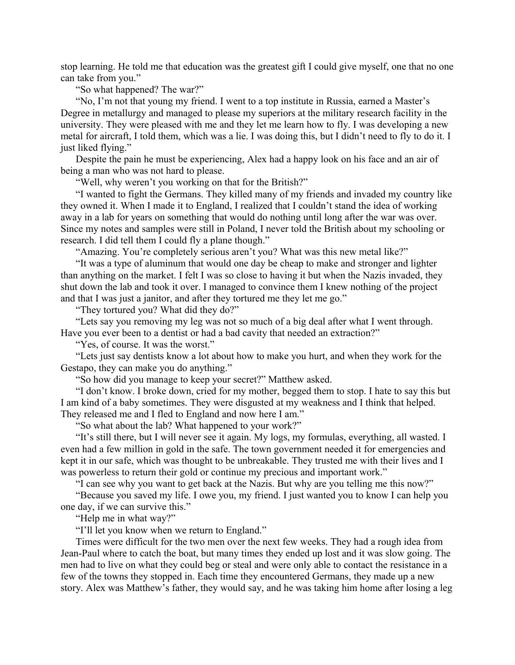stop learning. He told me that education was the greatest gift I could give myself, one that no one can take from you."

"So what happened? The war?"

"No, I'm not that young my friend. I went to a top institute in Russia, earned a Master's Degree in metallurgy and managed to please my superiors at the military research facility in the university. They were pleased with me and they let me learn how to fly. I was developing a new metal for aircraft, I told them, which was a lie. I was doing this, but I didn't need to fly to do it. I just liked flying."

Despite the pain he must be experiencing, Alex had a happy look on his face and an air of being a man who was not hard to please.

"Well, why weren't you working on that for the British?"

"I wanted to fight the Germans. They killed many of my friends and invaded my country like they owned it. When I made it to England, I realized that I couldn't stand the idea of working away in a lab for years on something that would do nothing until long after the war was over. Since my notes and samples were still in Poland, I never told the British about my schooling or research. I did tell them I could fly a plane though."

"Amazing. You're completely serious aren't you? What was this new metal like?"

"It was a type of aluminum that would one day be cheap to make and stronger and lighter than anything on the market. I felt I was so close to having it but when the Nazis invaded, they shut down the lab and took it over. I managed to convince them I knew nothing of the project and that I was just a janitor, and after they tortured me they let me go."

"They tortured you? What did they do?"

"Lets say you removing my leg was not so much of a big deal after what I went through. Have you ever been to a dentist or had a bad cavity that needed an extraction?"

"Yes, of course. It was the worst."

"Lets just say dentists know a lot about how to make you hurt, and when they work for the Gestapo, they can make you do anything."

"So how did you manage to keep your secret?" Matthew asked.

"I don't know. I broke down, cried for my mother, begged them to stop. I hate to say this but I am kind of a baby sometimes. They were disgusted at my weakness and I think that helped. They released me and I fled to England and now here I am."

"So what about the lab? What happened to your work?"

"It's still there, but I will never see it again. My logs, my formulas, everything, all wasted. I even had a few million in gold in the safe. The town government needed it for emergencies and kept it in our safe, which was thought to be unbreakable. They trusted me with their lives and I was powerless to return their gold or continue my precious and important work."

"I can see why you want to get back at the Nazis. But why are you telling me this now?"

"Because you saved my life. I owe you, my friend. I just wanted you to know I can help you one day, if we can survive this."

"Help me in what way?"

"I'll let you know when we return to England."

Times were difficult for the two men over the next few weeks. They had a rough idea from Jean-Paul where to catch the boat, but many times they ended up lost and it was slow going. The men had to live on what they could beg or steal and were only able to contact the resistance in a few of the towns they stopped in. Each time they encountered Germans, they made up a new story. Alex was Matthew's father, they would say, and he was taking him home after losing a leg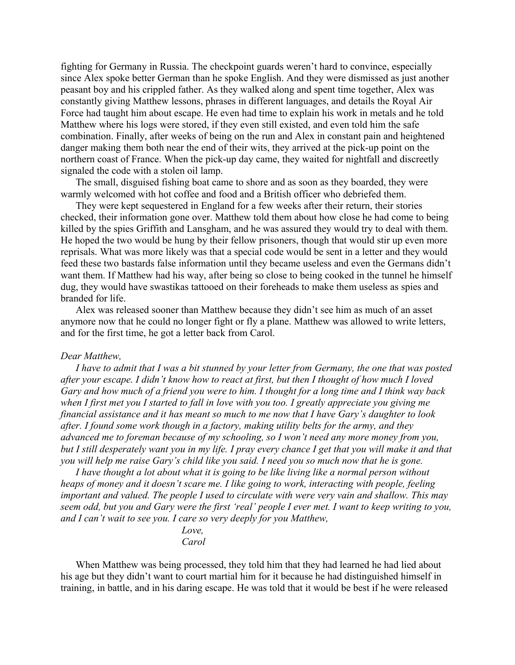fighting for Germany in Russia. The checkpoint guards weren't hard to convince, especially since Alex spoke better German than he spoke English. And they were dismissed as just another peasant boy and his crippled father. As they walked along and spent time together, Alex was constantly giving Matthew lessons, phrases in different languages, and details the Royal Air Force had taught him about escape. He even had time to explain his work in metals and he told Matthew where his logs were stored, if they even still existed, and even told him the safe combination. Finally, after weeks of being on the run and Alex in constant pain and heightened danger making them both near the end of their wits, they arrived at the pick-up point on the northern coast of France. When the pick-up day came, they waited for nightfall and discreetly signaled the code with a stolen oil lamp.

The small, disguised fishing boat came to shore and as soon as they boarded, they were warmly welcomed with hot coffee and food and a British officer who debriefed them.

They were kept sequestered in England for a few weeks after their return, their stories checked, their information gone over. Matthew told them about how close he had come to being killed by the spies Griffith and Lansgham, and he was assured they would try to deal with them. He hoped the two would be hung by their fellow prisoners, though that would stir up even more reprisals. What was more likely was that a special code would be sent in a letter and they would feed these two bastards false information until they became useless and even the Germans didn't want them. If Matthew had his way, after being so close to being cooked in the tunnel he himself dug, they would have swastikas tattooed on their foreheads to make them useless as spies and branded for life.

Alex was released sooner than Matthew because they didn't see him as much of an asset anymore now that he could no longer fight or fly a plane. Matthew was allowed to write letters, and for the first time, he got a letter back from Carol.

#### *Dear Matthew,*

*I have to admit that I was a bit stunned by your letter from Germany, the one that was posted after your escape. I didn't know how to react at first, but then I thought of how much I loved Gary and how much of a friend you were to him. I thought for a long time and I think way back when I first met you I started to fall in love with you too. I greatly appreciate you giving me financial assistance and it has meant so much to me now that I have Gary's daughter to look after. I found some work though in a factory, making utility belts for the army, and they advanced me to foreman because of my schooling, so I won't need any more money from you, but I still desperately want you in my life. I pray every chance I get that you will make it and that you will help me raise Gary's child like you said. I need you so much now that he is gone.*

*I have thought a lot about what it is going to be like living like a normal person without heaps of money and it doesn't scare me. I like going to work, interacting with people, feeling important and valued. The people I used to circulate with were very vain and shallow. This may seem odd, but you and Gary were the first 'real' people I ever met. I want to keep writing to you, and I can't wait to see you. I care so very deeply for you Matthew,*

> *Love, Carol*

When Matthew was being processed, they told him that they had learned he had lied about his age but they didn't want to court martial him for it because he had distinguished himself in training, in battle, and in his daring escape. He was told that it would be best if he were released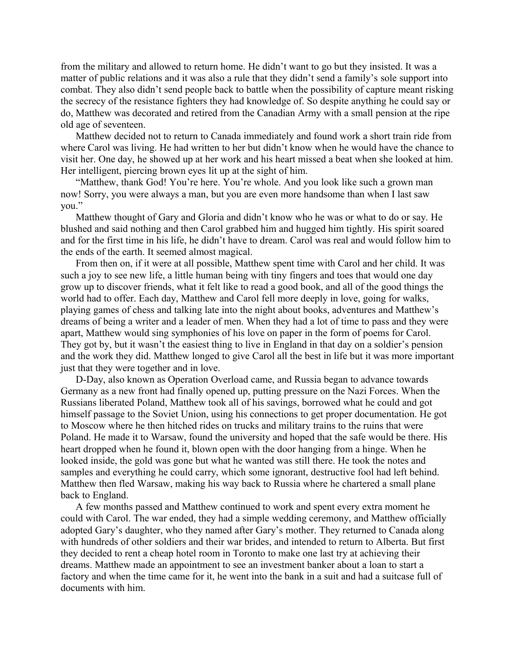from the military and allowed to return home. He didn't want to go but they insisted. It was a matter of public relations and it was also a rule that they didn't send a family's sole support into combat. They also didn't send people back to battle when the possibility of capture meant risking the secrecy of the resistance fighters they had knowledge of. So despite anything he could say or do, Matthew was decorated and retired from the Canadian Army with a small pension at the ripe old age of seventeen.

Matthew decided not to return to Canada immediately and found work a short train ride from where Carol was living. He had written to her but didn't know when he would have the chance to visit her. One day, he showed up at her work and his heart missed a beat when she looked at him. Her intelligent, piercing brown eyes lit up at the sight of him.

"Matthew, thank God! You're here. You're whole. And you look like such a grown man now! Sorry, you were always a man, but you are even more handsome than when I last saw you."

Matthew thought of Gary and Gloria and didn't know who he was or what to do or say. He blushed and said nothing and then Carol grabbed him and hugged him tightly. His spirit soared and for the first time in his life, he didn't have to dream. Carol was real and would follow him to the ends of the earth. It seemed almost magical.

From then on, if it were at all possible, Matthew spent time with Carol and her child. It was such a joy to see new life, a little human being with tiny fingers and toes that would one day grow up to discover friends, what it felt like to read a good book, and all of the good things the world had to offer. Each day, Matthew and Carol fell more deeply in love, going for walks, playing games of chess and talking late into the night about books, adventures and Matthew's dreams of being a writer and a leader of men. When they had a lot of time to pass and they were apart, Matthew would sing symphonies of his love on paper in the form of poems for Carol. They got by, but it wasn't the easiest thing to live in England in that day on a soldier's pension and the work they did. Matthew longed to give Carol all the best in life but it was more important just that they were together and in love.

D-Day, also known as Operation Overload came, and Russia began to advance towards Germany as a new front had finally opened up, putting pressure on the Nazi Forces. When the Russians liberated Poland, Matthew took all of his savings, borrowed what he could and got himself passage to the Soviet Union, using his connections to get proper documentation. He got to Moscow where he then hitched rides on trucks and military trains to the ruins that were Poland. He made it to Warsaw, found the university and hoped that the safe would be there. His heart dropped when he found it, blown open with the door hanging from a hinge. When he looked inside, the gold was gone but what he wanted was still there. He took the notes and samples and everything he could carry, which some ignorant, destructive fool had left behind. Matthew then fled Warsaw, making his way back to Russia where he chartered a small plane back to England.

A few months passed and Matthew continued to work and spent every extra moment he could with Carol. The war ended, they had a simple wedding ceremony, and Matthew officially adopted Gary's daughter, who they named after Gary's mother. They returned to Canada along with hundreds of other soldiers and their war brides, and intended to return to Alberta. But first they decided to rent a cheap hotel room in Toronto to make one last try at achieving their dreams. Matthew made an appointment to see an investment banker about a loan to start a factory and when the time came for it, he went into the bank in a suit and had a suitcase full of documents with him.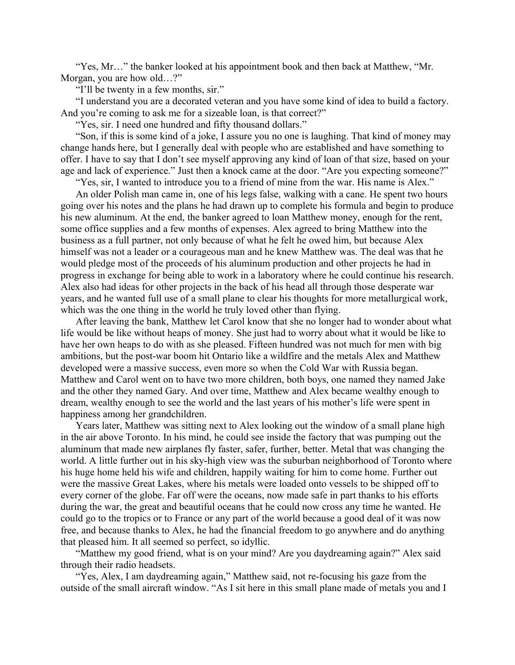"Yes, Mr…" the banker looked at his appointment book and then back at Matthew, "Mr. Morgan, you are how old…?"

"I'll be twenty in a few months, sir."

"I understand you are a decorated veteran and you have some kind of idea to build a factory. And you're coming to ask me for a sizeable loan, is that correct?"

"Yes, sir. I need one hundred and fifty thousand dollars."

"Son, if this is some kind of a joke, I assure you no one is laughing. That kind of money may change hands here, but I generally deal with people who are established and have something to offer. I have to say that I don't see myself approving any kind of loan of that size, based on your age and lack of experience." Just then a knock came at the door. "Are you expecting someone?"

"Yes, sir, I wanted to introduce you to a friend of mine from the war. His name is Alex."

An older Polish man came in, one of his legs false, walking with a cane. He spent two hours going over his notes and the plans he had drawn up to complete his formula and begin to produce his new aluminum. At the end, the banker agreed to loan Matthew money, enough for the rent, some office supplies and a few months of expenses. Alex agreed to bring Matthew into the business as a full partner, not only because of what he felt he owed him, but because Alex himself was not a leader or a courageous man and he knew Matthew was. The deal was that he would pledge most of the proceeds of his aluminum production and other projects he had in progress in exchange for being able to work in a laboratory where he could continue his research. Alex also had ideas for other projects in the back of his head all through those desperate war years, and he wanted full use of a small plane to clear his thoughts for more metallurgical work, which was the one thing in the world he truly loved other than flying.

After leaving the bank, Matthew let Carol know that she no longer had to wonder about what life would be like without heaps of money. She just had to worry about what it would be like to have her own heaps to do with as she pleased. Fifteen hundred was not much for men with big ambitions, but the post-war boom hit Ontario like a wildfire and the metals Alex and Matthew developed were a massive success, even more so when the Cold War with Russia began. Matthew and Carol went on to have two more children, both boys, one named they named Jake and the other they named Gary. And over time, Matthew and Alex became wealthy enough to dream, wealthy enough to see the world and the last years of his mother's life were spent in happiness among her grandchildren.

Years later, Matthew was sitting next to Alex looking out the window of a small plane high in the air above Toronto. In his mind, he could see inside the factory that was pumping out the aluminum that made new airplanes fly faster, safer, further, better. Metal that was changing the world. A little further out in his sky-high view was the suburban neighborhood of Toronto where his huge home held his wife and children, happily waiting for him to come home. Further out were the massive Great Lakes, where his metals were loaded onto vessels to be shipped off to every corner of the globe. Far off were the oceans, now made safe in part thanks to his efforts during the war, the great and beautiful oceans that he could now cross any time he wanted. He could go to the tropics or to France or any part of the world because a good deal of it was now free, and because thanks to Alex, he had the financial freedom to go anywhere and do anything that pleased him. It all seemed so perfect, so idyllic.

"Matthew my good friend, what is on your mind? Are you daydreaming again?" Alex said through their radio headsets.

"Yes, Alex, I am daydreaming again," Matthew said, not re-focusing his gaze from the outside of the small aircraft window. "As I sit here in this small plane made of metals you and I